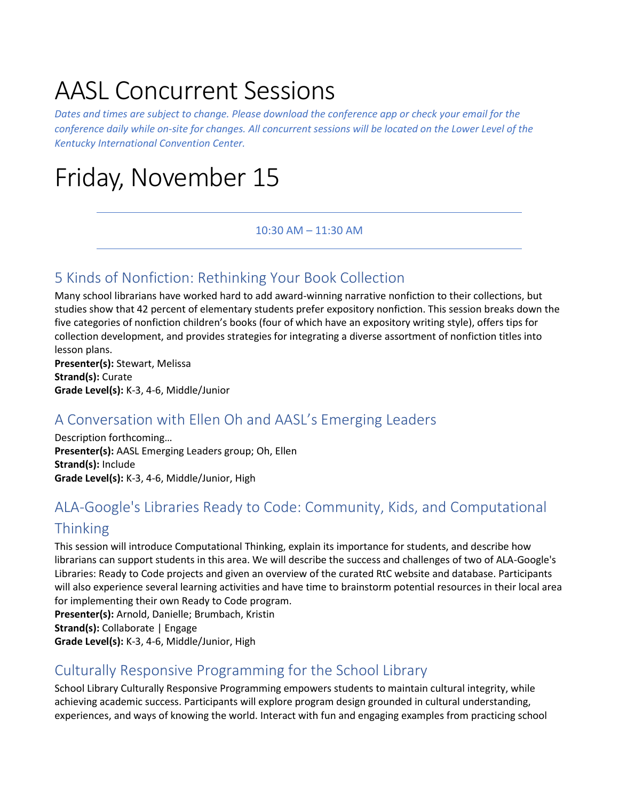# AASL Concurrent Sessions

*Dates and times are subject to change. Please download the conference app or check your email for the conference daily while on-site for changes. All concurrent sessions will be located on the Lower Level of the Kentucky International Convention Center.* 

# Friday, November 15

#### 10:30 AM – 11:30 AM

# 5 Kinds of Nonfiction: Rethinking Your Book Collection

Many school librarians have worked hard to add award-winning narrative nonfiction to their collections, but studies show that 42 percent of elementary students prefer expository nonfiction. This session breaks down the five categories of nonfiction children's books (four of which have an expository writing style), offers tips for collection development, and provides strategies for integrating a diverse assortment of nonfiction titles into lesson plans.

**Presenter(s):** Stewart, Melissa **Strand(s):** Curate **Grade Level(s):** K-3, 4-6, Middle/Junior

# A Conversation with Ellen Oh and AASL's Emerging Leaders

Description forthcoming… **Presenter(s):** AASL Emerging Leaders group; Oh, Ellen **Strand(s):** Include **Grade Level(s):** K-3, 4-6, Middle/Junior, High

# ALA-Google's Libraries Ready to Code: Community, Kids, and Computational **Thinking**

This session will introduce Computational Thinking, explain its importance for students, and describe how librarians can support students in this area. We will describe the success and challenges of two of ALA-Google's Libraries: Ready to Code projects and given an overview of the curated RtC website and database. Participants will also experience several learning activities and have time to brainstorm potential resources in their local area for implementing their own Ready to Code program.

**Presenter(s):** Arnold, Danielle; Brumbach, Kristin **Strand(s):** Collaborate | Engage

**Grade Level(s):** K-3, 4-6, Middle/Junior, High

# Culturally Responsive Programming for the School Library

School Library Culturally Responsive Programming empowers students to maintain cultural integrity, while achieving academic success. Participants will explore program design grounded in cultural understanding, experiences, and ways of knowing the world. Interact with fun and engaging examples from practicing school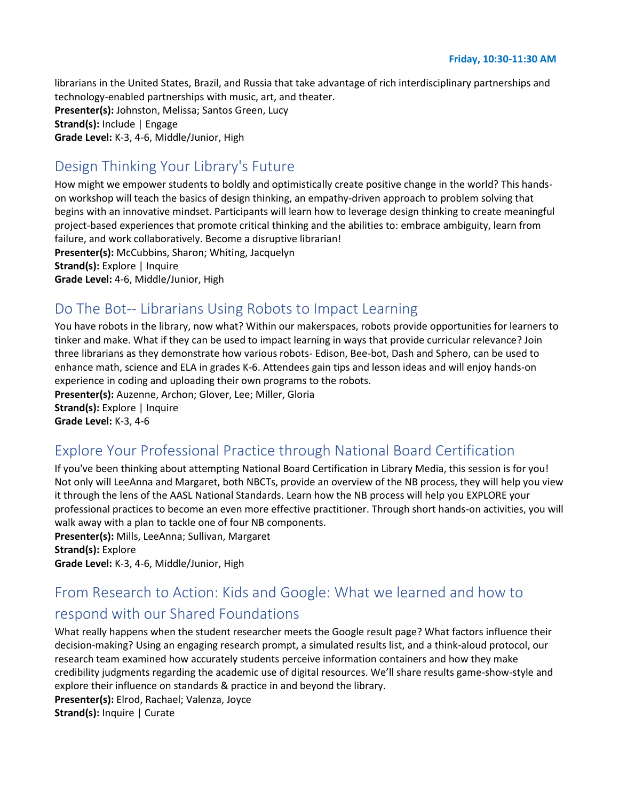librarians in the United States, Brazil, and Russia that take advantage of rich interdisciplinary partnerships and technology-enabled partnerships with music, art, and theater. **Presenter(s):** Johnston, Melissa; Santos Green, Lucy **Strand(s):** Include | Engage **Grade Level:** K-3, 4-6, Middle/Junior, High

# Design Thinking Your Library's Future

How might we empower students to boldly and optimistically create positive change in the world? This handson workshop will teach the basics of design thinking, an empathy-driven approach to problem solving that begins with an innovative mindset. Participants will learn how to leverage design thinking to create meaningful project-based experiences that promote critical thinking and the abilities to: embrace ambiguity, learn from failure, and work collaboratively. Become a disruptive librarian! **Presenter(s):** McCubbins, Sharon; Whiting, Jacquelyn **Strand(s):** Explore | Inquire **Grade Level:** 4-6, Middle/Junior, High

# Do The Bot-- Librarians Using Robots to Impact Learning

You have robots in the library, now what? Within our makerspaces, robots provide opportunities for learners to tinker and make. What if they can be used to impact learning in ways that provide curricular relevance? Join three librarians as they demonstrate how various robots- Edison, Bee-bot, Dash and Sphero, can be used to enhance math, science and ELA in grades K-6. Attendees gain tips and lesson ideas and will enjoy hands-on experience in coding and uploading their own programs to the robots.

**Presenter(s):** Auzenne, Archon; Glover, Lee; Miller, Gloria **Strand(s):** Explore | Inquire

**Grade Level:** K-3, 4-6

# Explore Your Professional Practice through National Board Certification

If you've been thinking about attempting National Board Certification in Library Media, this session is for you! Not only will LeeAnna and Margaret, both NBCTs, provide an overview of the NB process, they will help you view it through the lens of the AASL National Standards. Learn how the NB process will help you EXPLORE your professional practices to become an even more effective practitioner. Through short hands-on activities, you will walk away with a plan to tackle one of four NB components.

**Presenter(s):** Mills, LeeAnna; Sullivan, Margaret **Strand(s):** Explore

**Grade Level:** K-3, 4-6, Middle/Junior, High

# From Research to Action: Kids and Google: What we learned and how to respond with our Shared Foundations

What really happens when the student researcher meets the Google result page? What factors influence their decision-making? Using an engaging research prompt, a simulated results list, and a think-aloud protocol, our research team examined how accurately students perceive information containers and how they make credibility judgments regarding the academic use of digital resources. We'll share results game-show-style and explore their influence on standards & practice in and beyond the library. **Presenter(s):** Elrod, Rachael; Valenza, Joyce

**Strand(s):** Inquire | Curate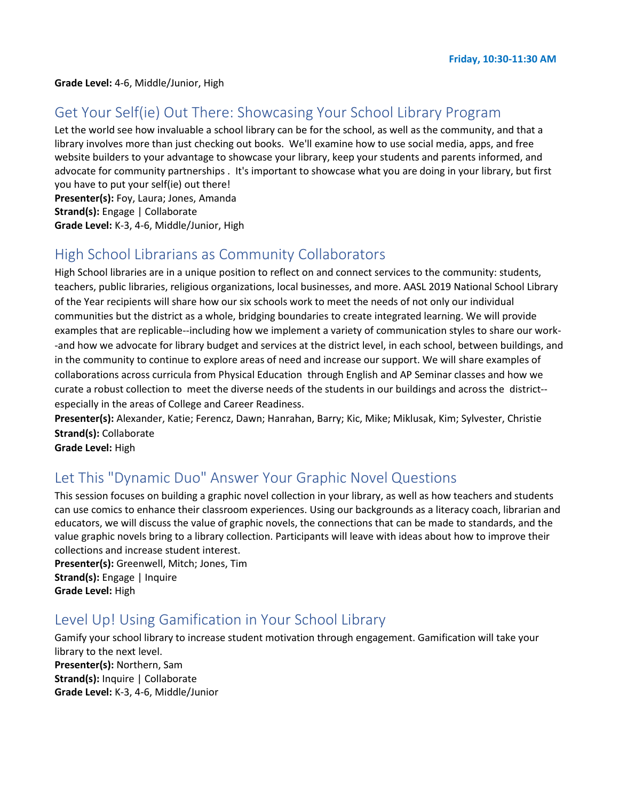#### Get Your Self(ie) Out There: Showcasing Your School Library Program

Let the world see how invaluable a school library can be for the school, as well as the community, and that a library involves more than just checking out books. We'll examine how to use social media, apps, and free website builders to your advantage to showcase your library, keep your students and parents informed, and advocate for community partnerships . It's important to showcase what you are doing in your library, but first you have to put your self(ie) out there!

**Presenter(s):** Foy, Laura; Jones, Amanda

**Strand(s):** Engage | Collaborate

**Grade Level:** K-3, 4-6, Middle/Junior, High

## High School Librarians as Community Collaborators

High School libraries are in a unique position to reflect on and connect services to the community: students, teachers, public libraries, religious organizations, local businesses, and more. AASL 2019 National School Library of the Year recipients will share how our six schools work to meet the needs of not only our individual communities but the district as a whole, bridging boundaries to create integrated learning. We will provide examples that are replicable--including how we implement a variety of communication styles to share our work- -and how we advocate for library budget and services at the district level, in each school, between buildings, and in the community to continue to explore areas of need and increase our support. We will share examples of collaborations across curricula from Physical Education through English and AP Seminar classes and how we curate a robust collection to meet the diverse needs of the students in our buildings and across the district- especially in the areas of College and Career Readiness.

**Presenter(s):** Alexander, Katie; Ferencz, Dawn; Hanrahan, Barry; Kic, Mike; Miklusak, Kim; Sylvester, Christie **Strand(s):** Collaborate

**Grade Level:** High

## Let This "Dynamic Duo" Answer Your Graphic Novel Questions

This session focuses on building a graphic novel collection in your library, as well as how teachers and students can use comics to enhance their classroom experiences. Using our backgrounds as a literacy coach, librarian and educators, we will discuss the value of graphic novels, the connections that can be made to standards, and the value graphic novels bring to a library collection. Participants will leave with ideas about how to improve their collections and increase student interest.

**Presenter(s):** Greenwell, Mitch; Jones, Tim **Strand(s):** Engage | Inquire **Grade Level:** High

#### Level Up! Using Gamification in Your School Library

Gamify your school library to increase student motivation through engagement. Gamification will take your library to the next level. **Presenter(s):** Northern, Sam **Strand(s):** Inquire | Collaborate **Grade Level:** K-3, 4-6, Middle/Junior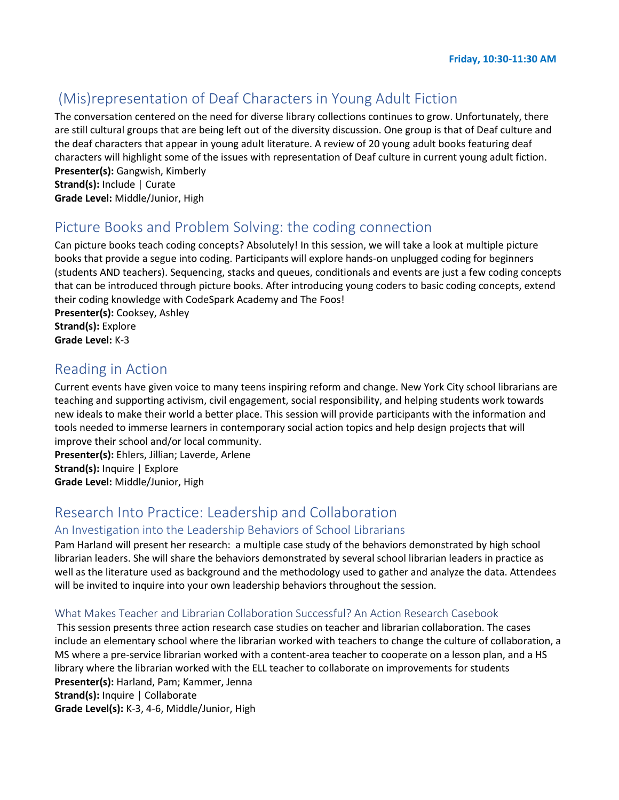# (Mis)representation of Deaf Characters in Young Adult Fiction

The conversation centered on the need for diverse library collections continues to grow. Unfortunately, there are still cultural groups that are being left out of the diversity discussion. One group is that of Deaf culture and the deaf characters that appear in young adult literature. A review of 20 young adult books featuring deaf characters will highlight some of the issues with representation of Deaf culture in current young adult fiction. **Presenter(s):** Gangwish, Kimberly

**Strand(s):** Include | Curate **Grade Level:** Middle/Junior, High

#### Picture Books and Problem Solving: the coding connection

Can picture books teach coding concepts? Absolutely! In this session, we will take a look at multiple picture books that provide a segue into coding. Participants will explore hands-on unplugged coding for beginners (students AND teachers). Sequencing, stacks and queues, conditionals and events are just a few coding concepts that can be introduced through picture books. After introducing young coders to basic coding concepts, extend their coding knowledge with CodeSpark Academy and The Foos! **Presenter(s):** Cooksey, Ashley

**Strand(s):** Explore **Grade Level:** K-3

#### Reading in Action

Current events have given voice to many teens inspiring reform and change. New York City school librarians are teaching and supporting activism, civil engagement, social responsibility, and helping students work towards new ideals to make their world a better place. This session will provide participants with the information and tools needed to immerse learners in contemporary social action topics and help design projects that will improve their school and/or local community.

**Presenter(s):** Ehlers, Jillian; Laverde, Arlene **Strand(s):** Inquire | Explore **Grade Level:** Middle/Junior, High

## Research Into Practice: Leadership and Collaboration

#### An Investigation into the Leadership Behaviors of School Librarians

Pam Harland will present her research: a multiple case study of the behaviors demonstrated by high school librarian leaders. She will share the behaviors demonstrated by several school librarian leaders in practice as well as the literature used as background and the methodology used to gather and analyze the data. Attendees will be invited to inquire into your own leadership behaviors throughout the session.

#### What Makes Teacher and Librarian Collaboration Successful? An Action Research Casebook

This session presents three action research case studies on teacher and librarian collaboration. The cases include an elementary school where the librarian worked with teachers to change the culture of collaboration, a MS where a pre-service librarian worked with a content-area teacher to cooperate on a lesson plan, and a HS library where the librarian worked with the ELL teacher to collaborate on improvements for students **Presenter(s):** Harland, Pam; Kammer, Jenna **Strand(s):** Inquire | Collaborate

**Grade Level(s):** K-3, 4-6, Middle/Junior, High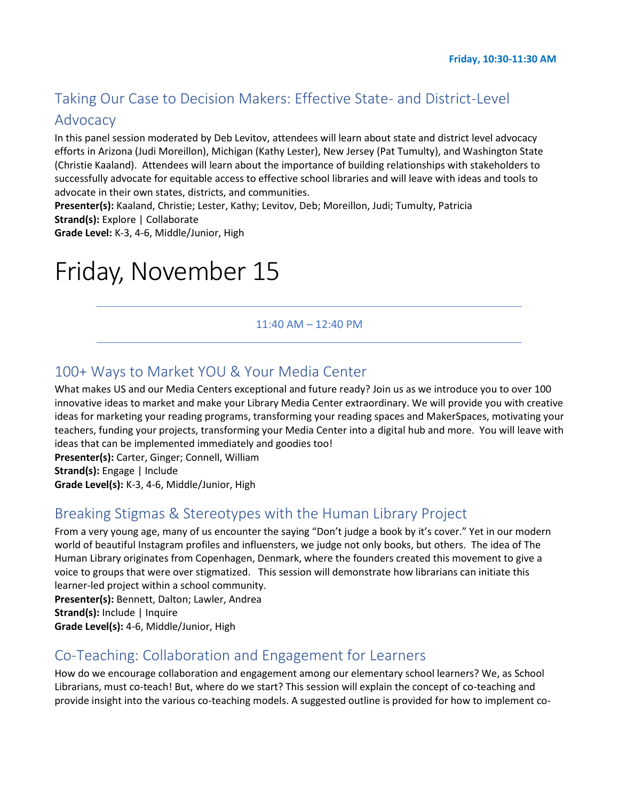# Taking Our Case to Decision Makers: Effective State- and District-Level

#### Advocacy

In this panel session moderated by Deb Levitov, attendees will learn about state and district level advocacy efforts in Arizona (Judi Moreillon), Michigan (Kathy Lester), New Jersey (Pat Tumulty), and Washington State (Christie Kaaland). Attendees will learn about the importance of building relationships with stakeholders to successfully advocate for equitable access to effective school libraries and will leave with ideas and tools to advocate in their own states, districts, and communities.

**Presenter(s):** Kaaland, Christie; Lester, Kathy; Levitov, Deb; Moreillon, Judi; Tumulty, Patricia **Strand(s):** Explore | Collaborate

**Grade Level:** K-3, 4-6, Middle/Junior, High

# Friday, November 15

#### 11:40 AM – 12:40 PM

#### 100+ Ways to Market YOU & Your Media Center

What makes US and our Media Centers exceptional and future ready? Join us as we introduce you to over 100 innovative ideas to market and make your Library Media Center extraordinary. We will provide you with creative ideas for marketing your reading programs, transforming your reading spaces and MakerSpaces, motivating your teachers, funding your projects, transforming your Media Center into a digital hub and more. You will leave with ideas that can be implemented immediately and goodies too!

**Presenter(s):** Carter, Ginger; Connell, William **Strand(s):** Engage | Include **Grade Level(s):** K-3, 4-6, Middle/Junior, High

#### Breaking Stigmas & Stereotypes with the Human Library Project

From a very young age, many of us encounter the saying "Don't judge a book by it's cover." Yet in our modern world of beautiful Instagram profiles and influensters, we judge not only books, but others. The idea of The Human Library originates from Copenhagen, Denmark, where the founders created this movement to give a voice to groups that were over stigmatized. This session will demonstrate how librarians can initiate this learner-led project within a school community.

**Presenter(s):** Bennett, Dalton; Lawler, Andrea

**Strand(s):** Include | Inquire

**Grade Level(s):** 4-6, Middle/Junior, High

#### Co-Teaching: Collaboration and Engagement for Learners

How do we encourage collaboration and engagement among our elementary school learners? We, as School Librarians, must co-teach! But, where do we start? This session will explain the concept of co-teaching and provide insight into the various co-teaching models. A suggested outline is provided for how to implement co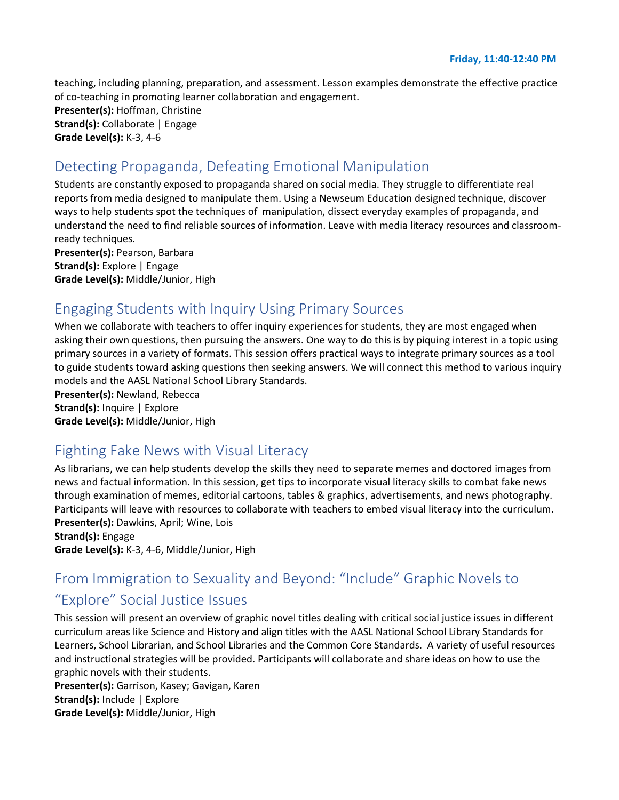teaching, including planning, preparation, and assessment. Lesson examples demonstrate the effective practice of co-teaching in promoting learner collaboration and engagement. **Presenter(s):** Hoffman, Christine **Strand(s):** Collaborate | Engage **Grade Level(s):** K-3, 4-6

#### Detecting Propaganda, Defeating Emotional Manipulation

Students are constantly exposed to propaganda shared on social media. They struggle to differentiate real reports from media designed to manipulate them. Using a Newseum Education designed technique, discover ways to help students spot the techniques of manipulation, dissect everyday examples of propaganda, and understand the need to find reliable sources of information. Leave with media literacy resources and classroomready techniques.

**Presenter(s):** Pearson, Barbara **Strand(s):** Explore | Engage **Grade Level(s):** Middle/Junior, High

## Engaging Students with Inquiry Using Primary Sources

When we collaborate with teachers to offer inquiry experiences for students, they are most engaged when asking their own questions, then pursuing the answers. One way to do this is by piquing interest in a topic using primary sources in a variety of formats. This session offers practical ways to integrate primary sources as a tool to guide students toward asking questions then seeking answers. We will connect this method to various inquiry models and the AASL National School Library Standards.

**Presenter(s):** Newland, Rebecca **Strand(s):** Inquire | Explore **Grade Level(s):** Middle/Junior, High

## Fighting Fake News with Visual Literacy

As librarians, we can help students develop the skills they need to separate memes and doctored images from news and factual information. In this session, get tips to incorporate visual literacy skills to combat fake news through examination of memes, editorial cartoons, tables & graphics, advertisements, and news photography. Participants will leave with resources to collaborate with teachers to embed visual literacy into the curriculum. **Presenter(s):** Dawkins, April; Wine, Lois

**Strand(s):** Engage **Grade Level(s):** K-3, 4-6, Middle/Junior, High

# From Immigration to Sexuality and Beyond: "Include" Graphic Novels to "Explore" Social Justice Issues

This session will present an overview of graphic novel titles dealing with critical social justice issues in different curriculum areas like Science and History and align titles with the AASL National School Library Standards for Learners, School Librarian, and School Libraries and the Common Core Standards. A variety of useful resources and instructional strategies will be provided. Participants will collaborate and share ideas on how to use the graphic novels with their students.

**Presenter(s):** Garrison, Kasey; Gavigan, Karen **Strand(s):** Include | Explore **Grade Level(s):** Middle/Junior, High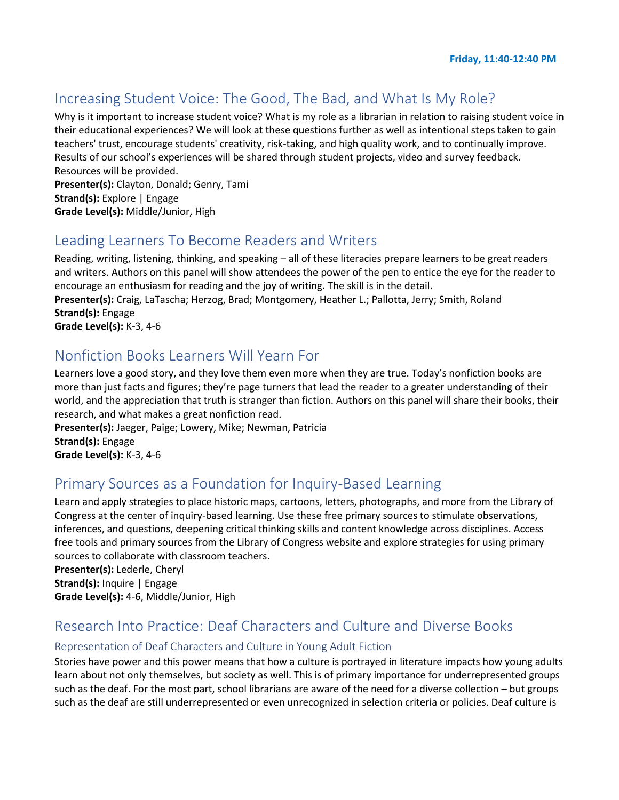## Increasing Student Voice: The Good, The Bad, and What Is My Role?

Why is it important to increase student voice? What is my role as a librarian in relation to raising student voice in their educational experiences? We will look at these questions further as well as intentional steps taken to gain teachers' trust, encourage students' creativity, risk-taking, and high quality work, and to continually improve. Results of our school's experiences will be shared through student projects, video and survey feedback. Resources will be provided.

**Presenter(s):** Clayton, Donald; Genry, Tami **Strand(s):** Explore | Engage **Grade Level(s):** Middle/Junior, High

#### Leading Learners To Become Readers and Writers

Reading, writing, listening, thinking, and speaking – all of these literacies prepare learners to be great readers and writers. Authors on this panel will show attendees the power of the pen to entice the eye for the reader to encourage an enthusiasm for reading and the joy of writing. The skill is in the detail.

**Presenter(s):** Craig, LaTascha; Herzog, Brad; Montgomery, Heather L.; Pallotta, Jerry; Smith, Roland **Strand(s):** Engage

**Grade Level(s):** K-3, 4-6

#### Nonfiction Books Learners Will Yearn For

Learners love a good story, and they love them even more when they are true. Today's nonfiction books are more than just facts and figures; they're page turners that lead the reader to a greater understanding of their world, and the appreciation that truth is stranger than fiction. Authors on this panel will share their books, their research, and what makes a great nonfiction read.

**Presenter(s):** Jaeger, Paige; Lowery, Mike; Newman, Patricia **Strand(s):** Engage **Grade Level(s):** K-3, 4-6

## Primary Sources as a Foundation for Inquiry-Based Learning

Learn and apply strategies to place historic maps, cartoons, letters, photographs, and more from the Library of Congress at the center of inquiry-based learning. Use these free primary sources to stimulate observations, inferences, and questions, deepening critical thinking skills and content knowledge across disciplines. Access free tools and primary sources from the Library of Congress website and explore strategies for using primary sources to collaborate with classroom teachers.

**Presenter(s):** Lederle, Cheryl **Strand(s):** Inquire | Engage **Grade Level(s):** 4-6, Middle/Junior, High

# Research Into Practice: Deaf Characters and Culture and Diverse Books

#### Representation of Deaf Characters and Culture in Young Adult Fiction

Stories have power and this power means that how a culture is portrayed in literature impacts how young adults learn about not only themselves, but society as well. This is of primary importance for underrepresented groups such as the deaf. For the most part, school librarians are aware of the need for a diverse collection – but groups such as the deaf are still underrepresented or even unrecognized in selection criteria or policies. Deaf culture is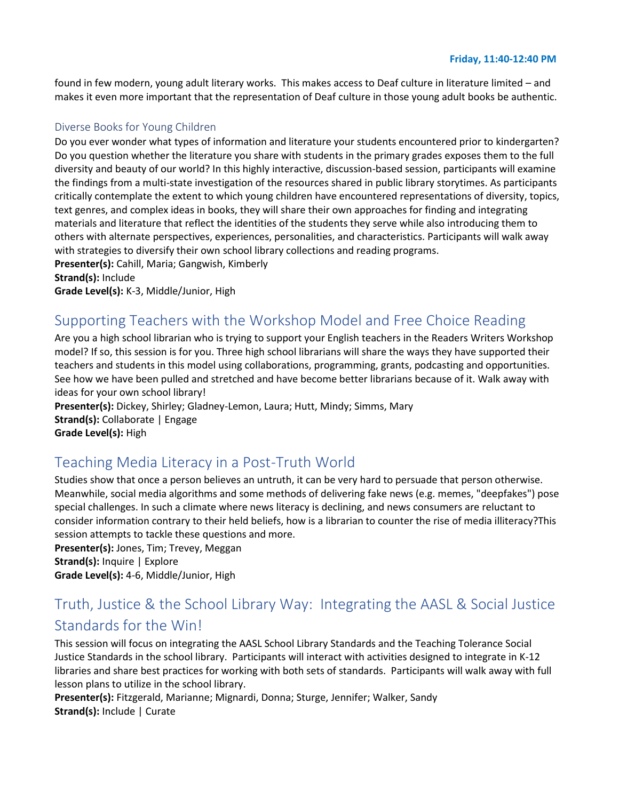#### **Friday, 11:40-12:40 PM**

found in few modern, young adult literary works. This makes access to Deaf culture in literature limited – and makes it even more important that the representation of Deaf culture in those young adult books be authentic.

#### Diverse Books for Young Children

Do you ever wonder what types of information and literature your students encountered prior to kindergarten? Do you question whether the literature you share with students in the primary grades exposes them to the full diversity and beauty of our world? In this highly interactive, discussion-based session, participants will examine the findings from a multi-state investigation of the resources shared in public library storytimes. As participants critically contemplate the extent to which young children have encountered representations of diversity, topics, text genres, and complex ideas in books, they will share their own approaches for finding and integrating materials and literature that reflect the identities of the students they serve while also introducing them to others with alternate perspectives, experiences, personalities, and characteristics. Participants will walk away with strategies to diversify their own school library collections and reading programs.

**Presenter(s):** Cahill, Maria; Gangwish, Kimberly

**Strand(s):** Include

**Grade Level(s):** K-3, Middle/Junior, High

# Supporting Teachers with the Workshop Model and Free Choice Reading

Are you a high school librarian who is trying to support your English teachers in the Readers Writers Workshop model? If so, this session is for you. Three high school librarians will share the ways they have supported their teachers and students in this model using collaborations, programming, grants, podcasting and opportunities. See how we have been pulled and stretched and have become better librarians because of it. Walk away with ideas for your own school library!

**Presenter(s):** Dickey, Shirley; Gladney-Lemon, Laura; Hutt, Mindy; Simms, Mary **Strand(s):** Collaborate | Engage **Grade Level(s):** High

## Teaching Media Literacy in a Post-Truth World

Studies show that once a person believes an untruth, it can be very hard to persuade that person otherwise. Meanwhile, social media algorithms and some methods of delivering fake news (e.g. memes, "deepfakes") pose special challenges. In such a climate where news literacy is declining, and news consumers are reluctant to consider information contrary to their held beliefs, how is a librarian to counter the rise of media illiteracy?This session attempts to tackle these questions and more.

**Presenter(s):** Jones, Tim; Trevey, Meggan **Strand(s):** Inquire | Explore **Grade Level(s):** 4-6, Middle/Junior, High

# Truth, Justice & the School Library Way: Integrating the AASL & Social Justice Standards for the Win!

This session will focus on integrating the AASL School Library Standards and the Teaching Tolerance Social Justice Standards in the school library. Participants will interact with activities designed to integrate in K-12 libraries and share best practices for working with both sets of standards. Participants will walk away with full lesson plans to utilize in the school library.

**Presenter(s):** Fitzgerald, Marianne; Mignardi, Donna; Sturge, Jennifer; Walker, Sandy **Strand(s):** Include | Curate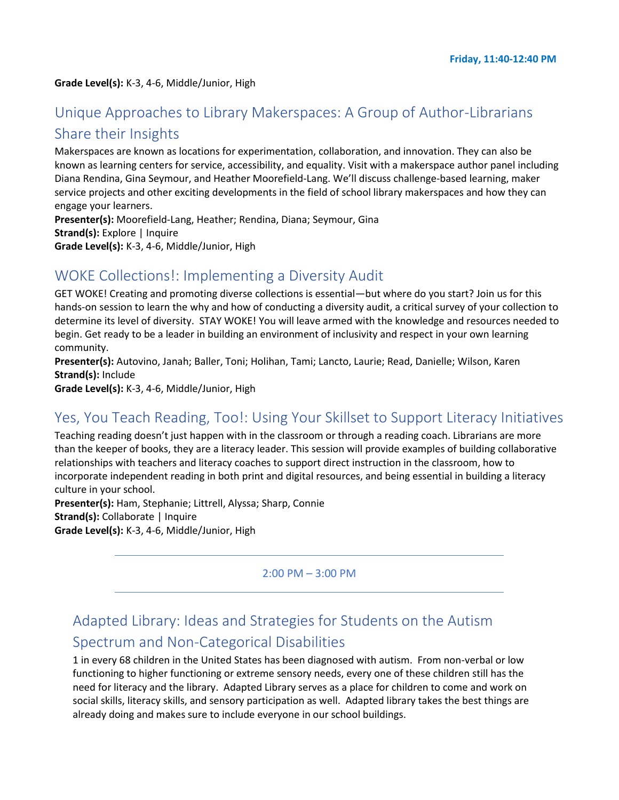#### **Grade Level(s):** K-3, 4-6, Middle/Junior, High

# Unique Approaches to Library Makerspaces: A Group of Author-Librarians Share their Insights

Makerspaces are known as locations for experimentation, collaboration, and innovation. They can also be known as learning centers for service, accessibility, and equality. Visit with a makerspace author panel including Diana Rendina, Gina Seymour, and Heather Moorefield-Lang. We'll discuss challenge-based learning, maker service projects and other exciting developments in the field of school library makerspaces and how they can engage your learners.

**Presenter(s):** Moorefield-Lang, Heather; Rendina, Diana; Seymour, Gina **Strand(s):** Explore | Inquire **Grade Level(s):** K-3, 4-6, Middle/Junior, High

#### WOKE Collections!: Implementing a Diversity Audit

GET WOKE! Creating and promoting diverse collections is essential—but where do you start? Join us for this hands-on session to learn the why and how of conducting a diversity audit, a critical survey of your collection to determine its level of diversity. STAY WOKE! You will leave armed with the knowledge and resources needed to begin. Get ready to be a leader in building an environment of inclusivity and respect in your own learning community.

**Presenter(s):** Autovino, Janah; Baller, Toni; Holihan, Tami; Lancto, Laurie; Read, Danielle; Wilson, Karen **Strand(s):** Include

**Grade Level(s):** K-3, 4-6, Middle/Junior, High

#### Yes, You Teach Reading, Too!: Using Your Skillset to Support Literacy Initiatives

Teaching reading doesn't just happen with in the classroom or through a reading coach. Librarians are more than the keeper of books, they are a literacy leader. This session will provide examples of building collaborative relationships with teachers and literacy coaches to support direct instruction in the classroom, how to incorporate independent reading in both print and digital resources, and being essential in building a literacy culture in your school.

**Presenter(s):** Ham, Stephanie; Littrell, Alyssa; Sharp, Connie **Strand(s): Collaborate | Inquire Grade Level(s):** K-3, 4-6, Middle/Junior, High

2:00 PM – 3:00 PM

# Adapted Library: Ideas and Strategies for Students on the Autism Spectrum and Non-Categorical Disabilities

1 in every 68 children in the United States has been diagnosed with autism. From non-verbal or low functioning to higher functioning or extreme sensory needs, every one of these children still has the need for literacy and the library. Adapted Library serves as a place for children to come and work on social skills, literacy skills, and sensory participation as well. Adapted library takes the best things are already doing and makes sure to include everyone in our school buildings.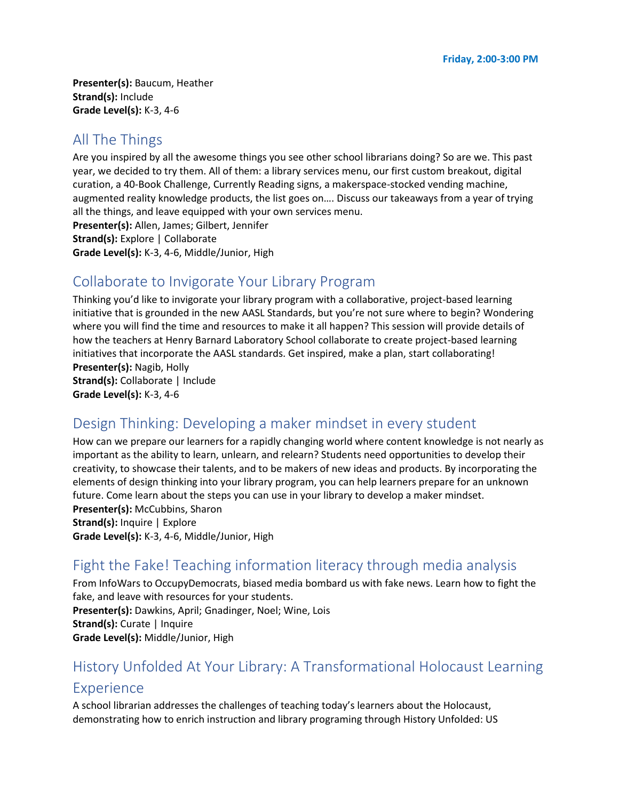**Presenter(s):** Baucum, Heather **Strand(s):** Include **Grade Level(s):** K-3, 4-6

# All The Things

Are you inspired by all the awesome things you see other school librarians doing? So are we. This past year, we decided to try them. All of them: a library services menu, our first custom breakout, digital curation, a 40-Book Challenge, Currently Reading signs, a makerspace-stocked vending machine, augmented reality knowledge products, the list goes on…. Discuss our takeaways from a year of trying all the things, and leave equipped with your own services menu. **Presenter(s):** Allen, James; Gilbert, Jennifer

**Strand(s):** Explore | Collaborate **Grade Level(s):** K-3, 4-6, Middle/Junior, High

# Collaborate to Invigorate Your Library Program

Thinking you'd like to invigorate your library program with a collaborative, project-based learning initiative that is grounded in the new AASL Standards, but you're not sure where to begin? Wondering where you will find the time and resources to make it all happen? This session will provide details of how the teachers at Henry Barnard Laboratory School collaborate to create project-based learning initiatives that incorporate the AASL standards. Get inspired, make a plan, start collaborating! **Presenter(s):** Nagib, Holly **Strand(s):** Collaborate | Include **Grade Level(s):** K-3, 4-6

# Design Thinking: Developing a maker mindset in every student

How can we prepare our learners for a rapidly changing world where content knowledge is not nearly as important as the ability to learn, unlearn, and relearn? Students need opportunities to develop their creativity, to showcase their talents, and to be makers of new ideas and products. By incorporating the elements of design thinking into your library program, you can help learners prepare for an unknown future. Come learn about the steps you can use in your library to develop a maker mindset. **Presenter(s):** McCubbins, Sharon **Strand(s):** Inquire | Explore **Grade Level(s):** K-3, 4-6, Middle/Junior, High

# Fight the Fake! Teaching information literacy through media analysis

From InfoWars to OccupyDemocrats, biased media bombard us with fake news. Learn how to fight the fake, and leave with resources for your students. **Presenter(s):** Dawkins, April; Gnadinger, Noel; Wine, Lois **Strand(s):** Curate | Inquire **Grade Level(s):** Middle/Junior, High

# History Unfolded At Your Library: A Transformational Holocaust Learning Experience

A school librarian addresses the challenges of teaching today's learners about the Holocaust, demonstrating how to enrich instruction and library programing through History Unfolded: US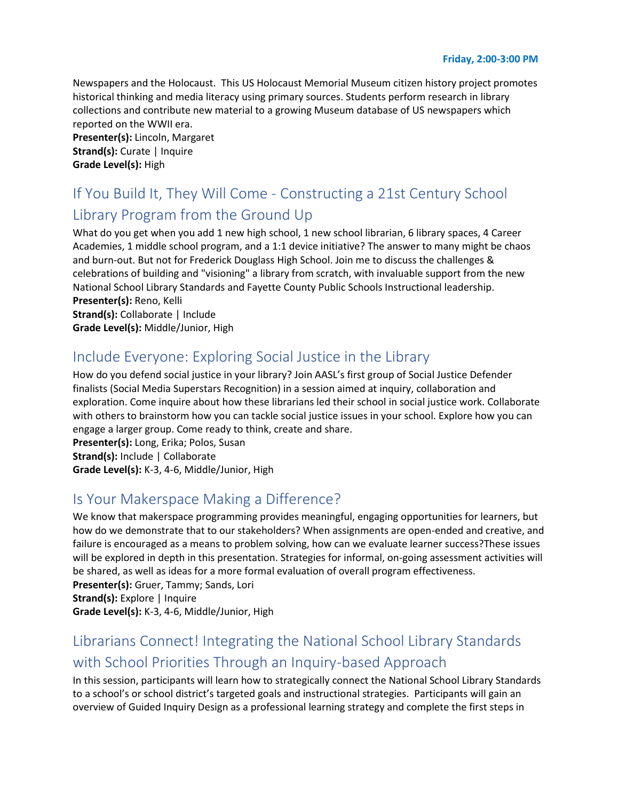Newspapers and the Holocaust. This US Holocaust Memorial Museum citizen history project promotes historical thinking and media literacy using primary sources. Students perform research in library collections and contribute new material to a growing Museum database of US newspapers which reported on the WWII era.

**Presenter(s):** Lincoln, Margaret **Strand(s):** Curate | Inquire **Grade Level(s):** High

# If You Build It, They Will Come - Constructing a 21st Century School Library Program from the Ground Up

What do you get when you add 1 new high school, 1 new school librarian, 6 library spaces, 4 Career Academies, 1 middle school program, and a 1:1 device initiative? The answer to many might be chaos and burn-out. But not for Frederick Douglass High School. Join me to discuss the challenges & celebrations of building and "visioning" a library from scratch, with invaluable support from the new National School Library Standards and Fayette County Public Schools Instructional leadership. **Presenter(s):** Reno, Kelli **Strand(s):** Collaborate | Include

**Grade Level(s):** Middle/Junior, High

# Include Everyone: Exploring Social Justice in the Library

How do you defend social justice in your library? Join AASL's first group of Social Justice Defender finalists (Social Media Superstars Recognition) in a session aimed at inquiry, collaboration and exploration. Come inquire about how these librarians led their school in social justice work. Collaborate with others to brainstorm how you can tackle social justice issues in your school. Explore how you can engage a larger group. Come ready to think, create and share.

**Presenter(s):** Long, Erika; Polos, Susan **Strand(s):** Include | Collaborate **Grade Level(s):** K-3, 4-6, Middle/Junior, High

# Is Your Makerspace Making a Difference?

We know that makerspace programming provides meaningful, engaging opportunities for learners, but how do we demonstrate that to our stakeholders? When assignments are open-ended and creative, and failure is encouraged as a means to problem solving, how can we evaluate learner success?These issues will be explored in depth in this presentation. Strategies for informal, on-going assessment activities will be shared, as well as ideas for a more formal evaluation of overall program effectiveness. **Presenter(s):** Gruer, Tammy; Sands, Lori

**Strand(s):** Explore | Inquire

**Grade Level(s):** K-3, 4-6, Middle/Junior, High

# Librarians Connect! Integrating the National School Library Standards with School Priorities Through an Inquiry-based Approach

In this session, participants will learn how to strategically connect the National School Library Standards to a school's or school district's targeted goals and instructional strategies. Participants will gain an overview of Guided Inquiry Design as a professional learning strategy and complete the first steps in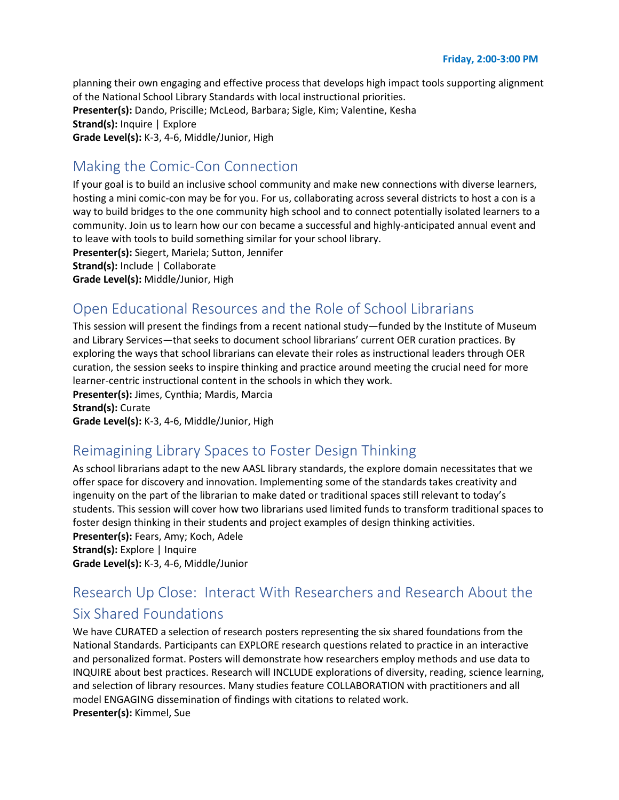planning their own engaging and effective process that develops high impact tools supporting alignment of the National School Library Standards with local instructional priorities. **Presenter(s):** Dando, Priscille; McLeod, Barbara; Sigle, Kim; Valentine, Kesha **Strand(s):** Inquire | Explore **Grade Level(s):** K-3, 4-6, Middle/Junior, High

# Making the Comic-Con Connection

If your goal is to build an inclusive school community and make new connections with diverse learners, hosting a mini comic-con may be for you. For us, collaborating across several districts to host a con is a way to build bridges to the one community high school and to connect potentially isolated learners to a community. Join us to learn how our con became a successful and highly-anticipated annual event and to leave with tools to build something similar for your school library.

**Presenter(s):** Siegert, Mariela; Sutton, Jennifer

**Strand(s):** Include | Collaborate

**Grade Level(s):** Middle/Junior, High

# Open Educational Resources and the Role of School Librarians

This session will present the findings from a recent national study—funded by the Institute of Museum and Library Services—that seeks to document school librarians' current OER curation practices. By exploring the ways that school librarians can elevate their roles as instructional leaders through OER curation, the session seeks to inspire thinking and practice around meeting the crucial need for more learner-centric instructional content in the schools in which they work.

**Presenter(s):** Jimes, Cynthia; Mardis, Marcia **Strand(s):** Curate **Grade Level(s):** K-3, 4-6, Middle/Junior, High

# Reimagining Library Spaces to Foster Design Thinking

As school librarians adapt to the new AASL library standards, the explore domain necessitates that we offer space for discovery and innovation. Implementing some of the standards takes creativity and ingenuity on the part of the librarian to make dated or traditional spaces still relevant to today's students. This session will cover how two librarians used limited funds to transform traditional spaces to foster design thinking in their students and project examples of design thinking activities. **Presenter(s):** Fears, Amy; Koch, Adele **Strand(s):** Explore | Inquire **Grade Level(s):** K-3, 4-6, Middle/Junior

# Research Up Close: Interact With Researchers and Research About the Six Shared Foundations

We have CURATED a selection of research posters representing the six shared foundations from the National Standards. Participants can EXPLORE research questions related to practice in an interactive and personalized format. Posters will demonstrate how researchers employ methods and use data to INQUIRE about best practices. Research will INCLUDE explorations of diversity, reading, science learning, and selection of library resources. Many studies feature COLLABORATION with practitioners and all model ENGAGING dissemination of findings with citations to related work. **Presenter(s):** Kimmel, Sue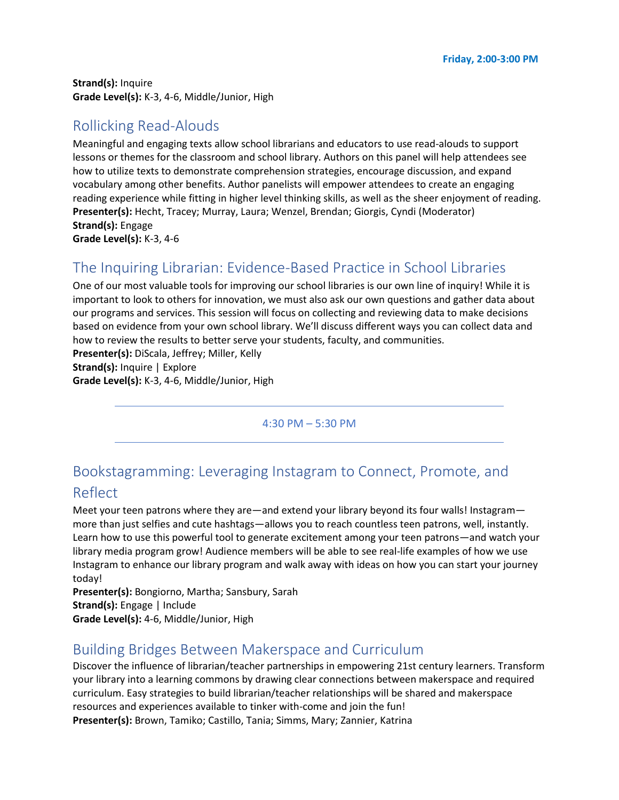**Strand(s):** Inquire **Grade Level(s):** K-3, 4-6, Middle/Junior, High

## Rollicking Read-Alouds

Meaningful and engaging texts allow school librarians and educators to use read-alouds to support lessons or themes for the classroom and school library. Authors on this panel will help attendees see how to utilize texts to demonstrate comprehension strategies, encourage discussion, and expand vocabulary among other benefits. Author panelists will empower attendees to create an engaging reading experience while fitting in higher level thinking skills, as well as the sheer enjoyment of reading. **Presenter(s):** Hecht, Tracey; Murray, Laura; Wenzel, Brendan; Giorgis, Cyndi (Moderator) **Strand(s):** Engage **Grade Level(s):** K-3, 4-6

# The Inquiring Librarian: Evidence-Based Practice in School Libraries

One of our most valuable tools for improving our school libraries is our own line of inquiry! While it is important to look to others for innovation, we must also ask our own questions and gather data about our programs and services. This session will focus on collecting and reviewing data to make decisions based on evidence from your own school library. We'll discuss different ways you can collect data and how to review the results to better serve your students, faculty, and communities.

**Presenter(s):** DiScala, Jeffrey; Miller, Kelly **Strand(s):** Inquire | Explore **Grade Level(s):** K-3, 4-6, Middle/Junior, High

4:30 PM – 5:30 PM

## Bookstagramming: Leveraging Instagram to Connect, Promote, and Reflect

Meet your teen patrons where they are—and extend your library beyond its four walls! Instagram more than just selfies and cute hashtags—allows you to reach countless teen patrons, well, instantly. Learn how to use this powerful tool to generate excitement among your teen patrons—and watch your library media program grow! Audience members will be able to see real-life examples of how we use Instagram to enhance our library program and walk away with ideas on how you can start your journey today!

**Presenter(s):** Bongiorno, Martha; Sansbury, Sarah **Strand(s):** Engage | Include **Grade Level(s):** 4-6, Middle/Junior, High

## Building Bridges Between Makerspace and Curriculum

Discover the influence of librarian/teacher partnerships in empowering 21st century learners. Transform your library into a learning commons by drawing clear connections between makerspace and required curriculum. Easy strategies to build librarian/teacher relationships will be shared and makerspace resources and experiences available to tinker with-come and join the fun! **Presenter(s):** Brown, Tamiko; Castillo, Tania; Simms, Mary; Zannier, Katrina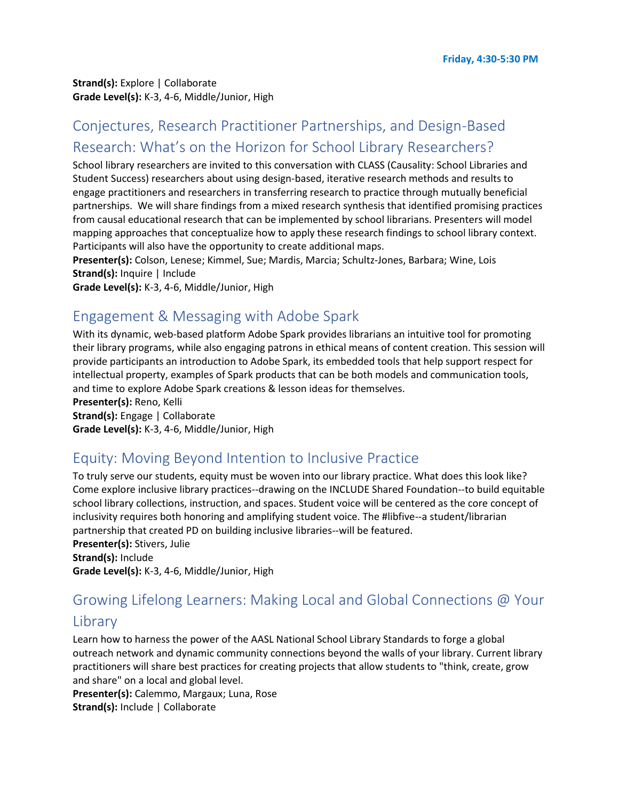**Strand(s):** Explore | Collaborate **Grade Level(s):** K-3, 4-6, Middle/Junior, High

# Conjectures, Research Practitioner Partnerships, and Design-Based Research: What's on the Horizon for School Library Researchers?

School library researchers are invited to this conversation with CLASS (Causality: School Libraries and Student Success) researchers about using design-based, iterative research methods and results to engage practitioners and researchers in transferring research to practice through mutually beneficial partnerships. We will share findings from a mixed research synthesis that identified promising practices from causal educational research that can be implemented by school librarians. Presenters will model mapping approaches that conceptualize how to apply these research findings to school library context. Participants will also have the opportunity to create additional maps.

**Presenter(s):** Colson, Lenese; Kimmel, Sue; Mardis, Marcia; Schultz-Jones, Barbara; Wine, Lois **Strand(s):** Inquire | Include

**Grade Level(s):** K-3, 4-6, Middle/Junior, High

#### Engagement & Messaging with Adobe Spark

With its dynamic, web-based platform Adobe Spark provides librarians an intuitive tool for promoting their library programs, while also engaging patrons in ethical means of content creation. This session will provide participants an introduction to Adobe Spark, its embedded tools that help support respect for intellectual property, examples of Spark products that can be both models and communication tools, and time to explore Adobe Spark creations & lesson ideas for themselves.

**Presenter(s):** Reno, Kelli **Strand(s):** Engage | Collaborate

**Grade Level(s):** K-3, 4-6, Middle/Junior, High

## Equity: Moving Beyond Intention to Inclusive Practice

To truly serve our students, equity must be woven into our library practice. What does this look like? Come explore inclusive library practices--drawing on the INCLUDE Shared Foundation--to build equitable school library collections, instruction, and spaces. Student voice will be centered as the core concept of inclusivity requires both honoring and amplifying student voice. The #libfive--a student/librarian partnership that created PD on building inclusive libraries--will be featured.

**Presenter(s):** Stivers, Julie **Strand(s):** Include **Grade Level(s):** K-3, 4-6, Middle/Junior, High

# Growing Lifelong Learners: Making Local and Global Connections @ Your Library

Learn how to harness the power of the AASL National School Library Standards to forge a global outreach network and dynamic community connections beyond the walls of your library. Current library practitioners will share best practices for creating projects that allow students to "think, create, grow and share" on a local and global level.

**Presenter(s):** Calemmo, Margaux; Luna, Rose

**Strand(s):** Include | Collaborate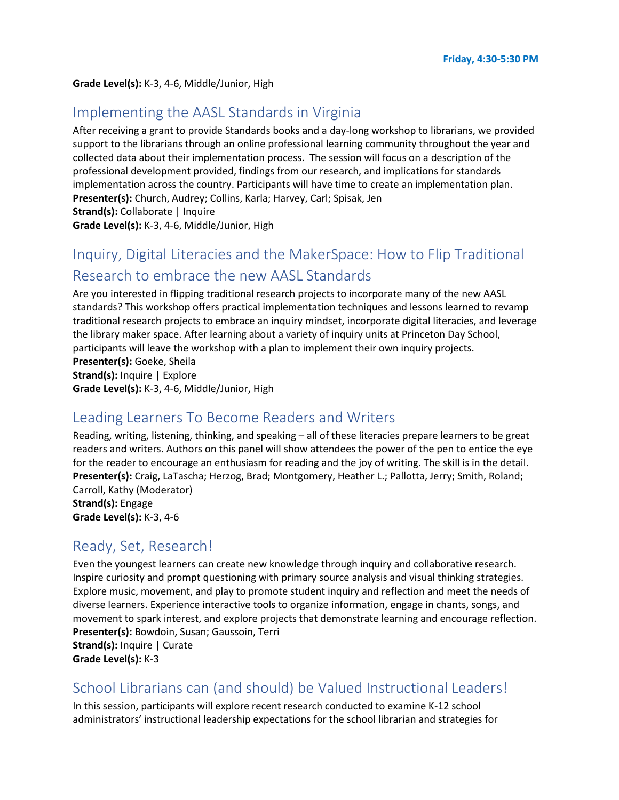#### **Grade Level(s):** K-3, 4-6, Middle/Junior, High

#### Implementing the AASL Standards in Virginia

After receiving a grant to provide Standards books and a day-long workshop to librarians, we provided support to the librarians through an online professional learning community throughout the year and collected data about their implementation process. The session will focus on a description of the professional development provided, findings from our research, and implications for standards implementation across the country. Participants will have time to create an implementation plan. **Presenter(s):** Church, Audrey; Collins, Karla; Harvey, Carl; Spisak, Jen **Strand(s):** Collaborate | Inquire

**Grade Level(s):** K-3, 4-6, Middle/Junior, High

# Inquiry, Digital Literacies and the MakerSpace: How to Flip Traditional Research to embrace the new AASL Standards

Are you interested in flipping traditional research projects to incorporate many of the new AASL standards? This workshop offers practical implementation techniques and lessons learned to revamp traditional research projects to embrace an inquiry mindset, incorporate digital literacies, and leverage the library maker space. After learning about a variety of inquiry units at Princeton Day School, participants will leave the workshop with a plan to implement their own inquiry projects. **Presenter(s):** Goeke, Sheila **Strand(s):** Inquire | Explore **Grade Level(s):** K-3, 4-6, Middle/Junior, High

#### Leading Learners To Become Readers and Writers

Reading, writing, listening, thinking, and speaking – all of these literacies prepare learners to be great readers and writers. Authors on this panel will show attendees the power of the pen to entice the eye for the reader to encourage an enthusiasm for reading and the joy of writing. The skill is in the detail. **Presenter(s):** Craig, LaTascha; Herzog, Brad; Montgomery, Heather L.; Pallotta, Jerry; Smith, Roland; Carroll, Kathy (Moderator)

**Strand(s):** Engage **Grade Level(s):** K-3, 4-6

#### Ready, Set, Research!

Even the youngest learners can create new knowledge through inquiry and collaborative research. Inspire curiosity and prompt questioning with primary source analysis and visual thinking strategies. Explore music, movement, and play to promote student inquiry and reflection and meet the needs of diverse learners. Experience interactive tools to organize information, engage in chants, songs, and movement to spark interest, and explore projects that demonstrate learning and encourage reflection. **Presenter(s):** Bowdoin, Susan; Gaussoin, Terri **Strand(s):** Inquire | Curate **Grade Level(s):** K-3

#### School Librarians can (and should) be Valued Instructional Leaders!

In this session, participants will explore recent research conducted to examine K-12 school administrators' instructional leadership expectations for the school librarian and strategies for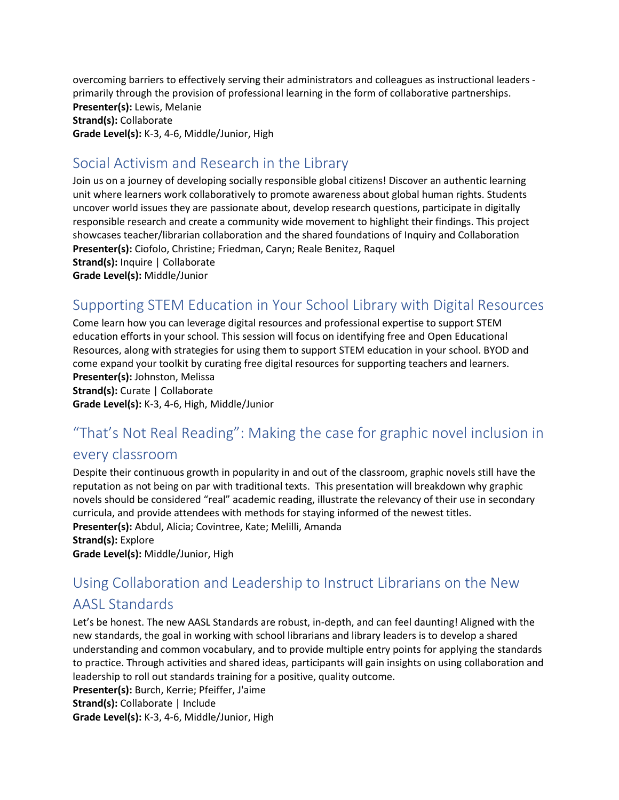overcoming barriers to effectively serving their administrators and colleagues as instructional leaders primarily through the provision of professional learning in the form of collaborative partnerships. **Presenter(s):** Lewis, Melanie

**Strand(s):** Collaborate **Grade Level(s):** K-3, 4-6, Middle/Junior, High

# Social Activism and Research in the Library

Join us on a journey of developing socially responsible global citizens! Discover an authentic learning unit where learners work collaboratively to promote awareness about global human rights. Students uncover world issues they are passionate about, develop research questions, participate in digitally responsible research and create a community wide movement to highlight their findings. This project showcases teacher/librarian collaboration and the shared foundations of Inquiry and Collaboration **Presenter(s):** Ciofolo, Christine; Friedman, Caryn; Reale Benitez, Raquel **Strand(s):** Inquire | Collaborate **Grade Level(s):** Middle/Junior

# Supporting STEM Education in Your School Library with Digital Resources

Come learn how you can leverage digital resources and professional expertise to support STEM education efforts in your school. This session will focus on identifying free and Open Educational Resources, along with strategies for using them to support STEM education in your school. BYOD and come expand your toolkit by curating free digital resources for supporting teachers and learners. **Presenter(s):** Johnston, Melissa

**Strand(s):** Curate | Collaborate

**Grade Level(s):** K-3, 4-6, High, Middle/Junior

# "That's Not Real Reading": Making the case for graphic novel inclusion in

#### every classroom

Despite their continuous growth in popularity in and out of the classroom, graphic novels still have the reputation as not being on par with traditional texts. This presentation will breakdown why graphic novels should be considered "real" academic reading, illustrate the relevancy of their use in secondary curricula, and provide attendees with methods for staying informed of the newest titles. **Presenter(s):** Abdul, Alicia; Covintree, Kate; Melilli, Amanda **Strand(s):** Explore

**Grade Level(s):** Middle/Junior, High

# Using Collaboration and Leadership to Instruct Librarians on the New AASL Standards

Let's be honest. The new AASL Standards are robust, in-depth, and can feel daunting! Aligned with the new standards, the goal in working with school librarians and library leaders is to develop a shared understanding and common vocabulary, and to provide multiple entry points for applying the standards to practice. Through activities and shared ideas, participants will gain insights on using collaboration and leadership to roll out standards training for a positive, quality outcome.

**Presenter(s):** Burch, Kerrie; Pfeiffer, J'aime

**Strand(s):** Collaborate | Include

**Grade Level(s):** K-3, 4-6, Middle/Junior, High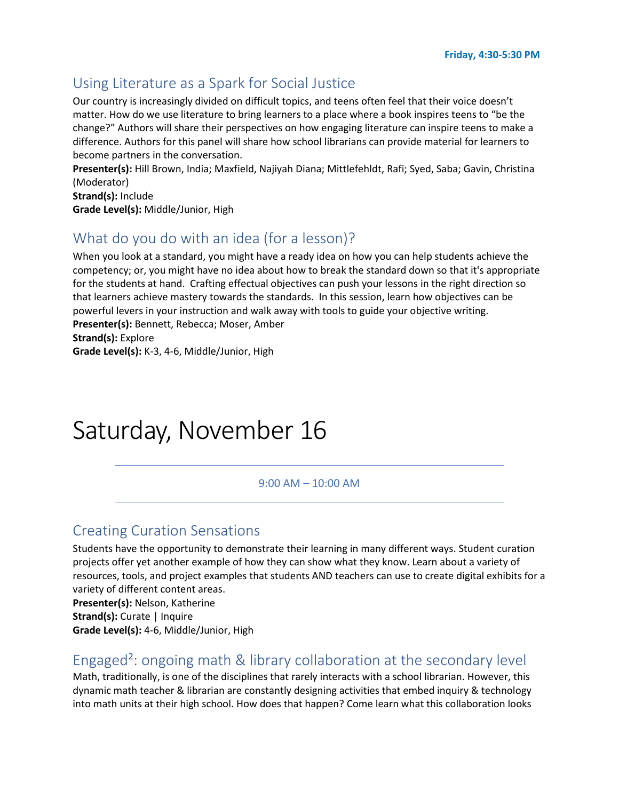#### Using Literature as a Spark for Social Justice

Our country is increasingly divided on difficult topics, and teens often feel that their voice doesn't matter. How do we use literature to bring learners to a place where a book inspires teens to "be the change?" Authors will share their perspectives on how engaging literature can inspire teens to make a difference. Authors for this panel will share how school librarians can provide material for learners to become partners in the conversation.

**Presenter(s):** Hill Brown, India; Maxfield, Najiyah Diana; Mittlefehldt, Rafi; Syed, Saba; Gavin, Christina (Moderator)

**Strand(s):** Include

**Grade Level(s):** Middle/Junior, High

# What do you do with an idea (for a lesson)?

When you look at a standard, you might have a ready idea on how you can help students achieve the competency; or, you might have no idea about how to break the standard down so that it's appropriate for the students at hand. Crafting effectual objectives can push your lessons in the right direction so that learners achieve mastery towards the standards. In this session, learn how objectives can be powerful levers in your instruction and walk away with tools to guide your objective writing. **Presenter(s):** Bennett, Rebecca; Moser, Amber **Strand(s):** Explore

**Grade Level(s):** K-3, 4-6, Middle/Junior, High

# Saturday, November 16

#### 9:00 AM – 10:00 AM

#### Creating Curation Sensations

Students have the opportunity to demonstrate their learning in many different ways. Student curation projects offer yet another example of how they can show what they know. Learn about a variety of resources, tools, and project examples that students AND teachers can use to create digital exhibits for a variety of different content areas.

**Presenter(s):** Nelson, Katherine **Strand(s):** Curate | Inquire **Grade Level(s):** 4-6, Middle/Junior, High

#### Engaged²: ongoing math & library collaboration at the secondary level

Math, traditionally, is one of the disciplines that rarely interacts with a school librarian. However, this dynamic math teacher & librarian are constantly designing activities that embed inquiry & technology into math units at their high school. How does that happen? Come learn what this collaboration looks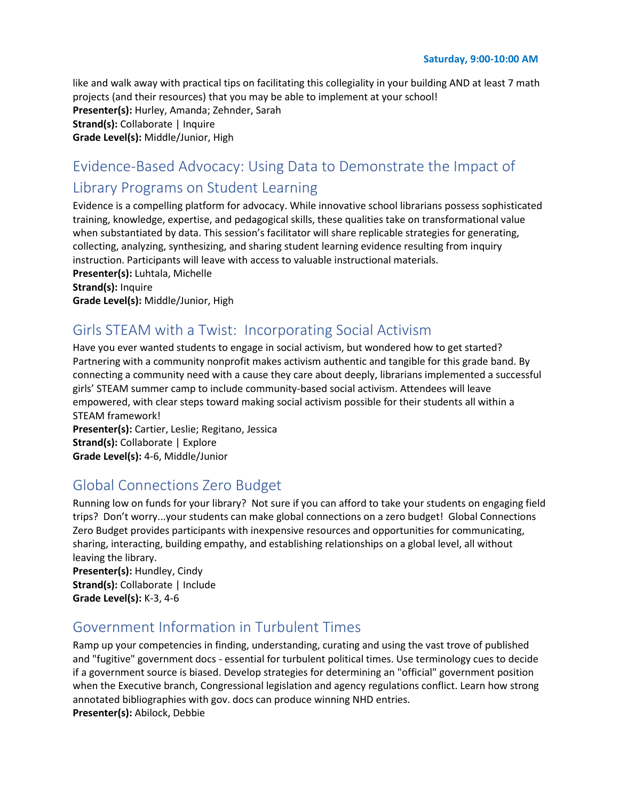like and walk away with practical tips on facilitating this collegiality in your building AND at least 7 math projects (and their resources) that you may be able to implement at your school! **Presenter(s):** Hurley, Amanda; Zehnder, Sarah **Strand(s):** Collaborate | Inquire **Grade Level(s):** Middle/Junior, High

# Evidence-Based Advocacy: Using Data to Demonstrate the Impact of Library Programs on Student Learning

Evidence is a compelling platform for advocacy. While innovative school librarians possess sophisticated training, knowledge, expertise, and pedagogical skills, these qualities take on transformational value when substantiated by data. This session's facilitator will share replicable strategies for generating, collecting, analyzing, synthesizing, and sharing student learning evidence resulting from inquiry instruction. Participants will leave with access to valuable instructional materials.

**Presenter(s):** Luhtala, Michelle **Strand(s):** Inquire **Grade Level(s):** Middle/Junior, High

## Girls STEAM with a Twist: Incorporating Social Activism

Have you ever wanted students to engage in social activism, but wondered how to get started? Partnering with a community nonprofit makes activism authentic and tangible for this grade band. By connecting a community need with a cause they care about deeply, librarians implemented a successful girls' STEAM summer camp to include community-based social activism. Attendees will leave empowered, with clear steps toward making social activism possible for their students all within a STEAM framework!

**Presenter(s):** Cartier, Leslie; Regitano, Jessica **Strand(s):** Collaborate | Explore **Grade Level(s):** 4-6, Middle/Junior

## Global Connections Zero Budget

Running low on funds for your library? Not sure if you can afford to take your students on engaging field trips? Don't worry...your students can make global connections on a zero budget! Global Connections Zero Budget provides participants with inexpensive resources and opportunities for communicating, sharing, interacting, building empathy, and establishing relationships on a global level, all without leaving the library.

**Presenter(s):** Hundley, Cindy **Strand(s):** Collaborate | Include **Grade Level(s):** K-3, 4-6

## Government Information in Turbulent Times

Ramp up your competencies in finding, understanding, curating and using the vast trove of published and "fugitive" government docs - essential for turbulent political times. Use terminology cues to decide if a government source is biased. Develop strategies for determining an "official" government position when the Executive branch, Congressional legislation and agency regulations conflict. Learn how strong annotated bibliographies with gov. docs can produce winning NHD entries. **Presenter(s):** Abilock, Debbie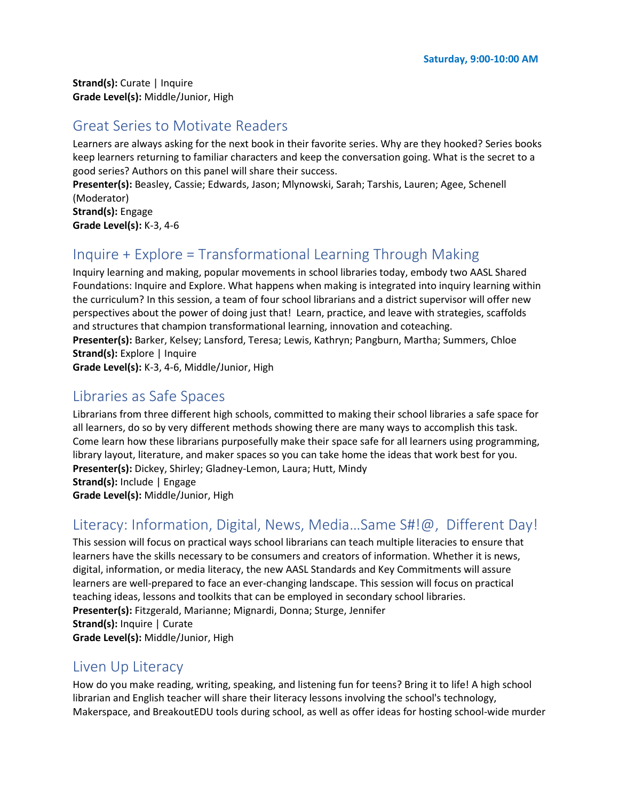**Strand(s):** Curate | Inquire **Grade Level(s):** Middle/Junior, High

#### Great Series to Motivate Readers

Learners are always asking for the next book in their favorite series. Why are they hooked? Series books keep learners returning to familiar characters and keep the conversation going. What is the secret to a good series? Authors on this panel will share their success.

**Presenter(s):** Beasley, Cassie; Edwards, Jason; Mlynowski, Sarah; Tarshis, Lauren; Agee, Schenell (Moderator)

**Strand(s):** Engage **Grade Level(s):** K-3, 4-6

# Inquire + Explore = Transformational Learning Through Making

Inquiry learning and making, popular movements in school libraries today, embody two AASL Shared Foundations: Inquire and Explore. What happens when making is integrated into inquiry learning within the curriculum? In this session, a team of four school librarians and a district supervisor will offer new perspectives about the power of doing just that! Learn, practice, and leave with strategies, scaffolds and structures that champion transformational learning, innovation and coteaching. **Presenter(s):** Barker, Kelsey; Lansford, Teresa; Lewis, Kathryn; Pangburn, Martha; Summers, Chloe **Strand(s):** Explore | Inquire

**Grade Level(s):** K-3, 4-6, Middle/Junior, High

#### Libraries as Safe Spaces

Librarians from three different high schools, committed to making their school libraries a safe space for all learners, do so by very different methods showing there are many ways to accomplish this task. Come learn how these librarians purposefully make their space safe for all learners using programming, library layout, literature, and maker spaces so you can take home the ideas that work best for you. **Presenter(s):** Dickey, Shirley; Gladney-Lemon, Laura; Hutt, Mindy **Strand(s):** Include | Engage

**Grade Level(s):** Middle/Junior, High

## Literacy: Information, Digital, News, Media…Same S#!@, Different Day!

This session will focus on practical ways school librarians can teach multiple literacies to ensure that learners have the skills necessary to be consumers and creators of information. Whether it is news, digital, information, or media literacy, the new AASL Standards and Key Commitments will assure learners are well-prepared to face an ever-changing landscape. This session will focus on practical teaching ideas, lessons and toolkits that can be employed in secondary school libraries. **Presenter(s):** Fitzgerald, Marianne; Mignardi, Donna; Sturge, Jennifer **Strand(s):** Inquire | Curate **Grade Level(s):** Middle/Junior, High

#### Liven Up Literacy

How do you make reading, writing, speaking, and listening fun for teens? Bring it to life! A high school librarian and English teacher will share their literacy lessons involving the school's technology, Makerspace, and BreakoutEDU tools during school, as well as offer ideas for hosting school-wide murder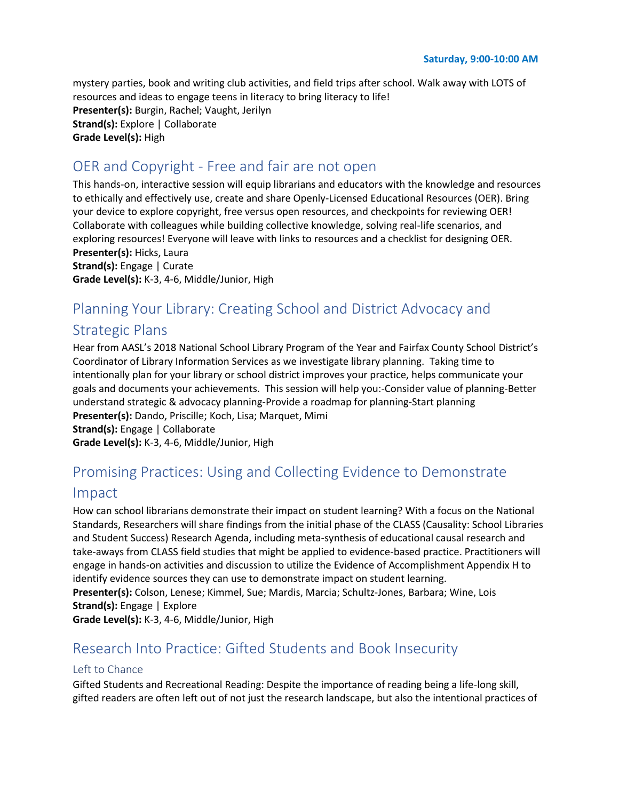mystery parties, book and writing club activities, and field trips after school. Walk away with LOTS of resources and ideas to engage teens in literacy to bring literacy to life! **Presenter(s):** Burgin, Rachel; Vaught, Jerilyn **Strand(s):** Explore | Collaborate **Grade Level(s):** High

#### OER and Copyright - Free and fair are not open

This hands-on, interactive session will equip librarians and educators with the knowledge and resources to ethically and effectively use, create and share Openly-Licensed Educational Resources (OER). Bring your device to explore copyright, free versus open resources, and checkpoints for reviewing OER! Collaborate with colleagues while building collective knowledge, solving real-life scenarios, and exploring resources! Everyone will leave with links to resources and a checklist for designing OER. **Presenter(s):** Hicks, Laura **Strand(s):** Engage | Curate

#### **Grade Level(s):** K-3, 4-6, Middle/Junior, High

# Planning Your Library: Creating School and District Advocacy and Strategic Plans

Hear from AASL's 2018 National School Library Program of the Year and Fairfax County School District's Coordinator of Library Information Services as we investigate library planning. Taking time to intentionally plan for your library or school district improves your practice, helps communicate your goals and documents your achievements. This session will help you:-Consider value of planning-Better understand strategic & advocacy planning-Provide a roadmap for planning-Start planning **Presenter(s):** Dando, Priscille; Koch, Lisa; Marquet, Mimi **Strand(s):** Engage | Collaborate **Grade Level(s):** K-3, 4-6, Middle/Junior, High

# Promising Practices: Using and Collecting Evidence to Demonstrate

#### Impact

How can school librarians demonstrate their impact on student learning? With a focus on the National Standards, Researchers will share findings from the initial phase of the CLASS (Causality: School Libraries and Student Success) Research Agenda, including meta-synthesis of educational causal research and take-aways from CLASS field studies that might be applied to evidence-based practice. Practitioners will engage in hands-on activities and discussion to utilize the Evidence of Accomplishment Appendix H to identify evidence sources they can use to demonstrate impact on student learning.

**Presenter(s):** Colson, Lenese; Kimmel, Sue; Mardis, Marcia; Schultz-Jones, Barbara; Wine, Lois **Strand(s):** Engage | Explore

**Grade Level(s):** K-3, 4-6, Middle/Junior, High

## Research Into Practice: Gifted Students and Book Insecurity

#### Left to Chance

Gifted Students and Recreational Reading: Despite the importance of reading being a life-long skill, gifted readers are often left out of not just the research landscape, but also the intentional practices of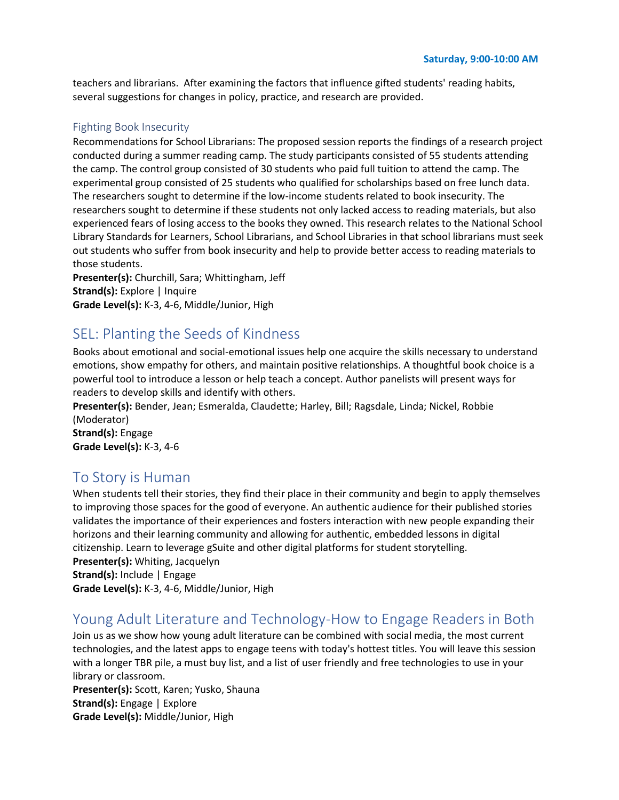teachers and librarians. After examining the factors that influence gifted students' reading habits, several suggestions for changes in policy, practice, and research are provided.

#### Fighting Book Insecurity

Recommendations for School Librarians: The proposed session reports the findings of a research project conducted during a summer reading camp. The study participants consisted of 55 students attending the camp. The control group consisted of 30 students who paid full tuition to attend the camp. The experimental group consisted of 25 students who qualified for scholarships based on free lunch data. The researchers sought to determine if the low-income students related to book insecurity. The researchers sought to determine if these students not only lacked access to reading materials, but also experienced fears of losing access to the books they owned. This research relates to the National School Library Standards for Learners, School Librarians, and School Libraries in that school librarians must seek out students who suffer from book insecurity and help to provide better access to reading materials to those students.

**Presenter(s):** Churchill, Sara; Whittingham, Jeff **Strand(s):** Explore | Inquire **Grade Level(s):** K-3, 4-6, Middle/Junior, High

#### SEL: Planting the Seeds of Kindness

Books about emotional and social-emotional issues help one acquire the skills necessary to understand emotions, show empathy for others, and maintain positive relationships. A thoughtful book choice is a powerful tool to introduce a lesson or help teach a concept. Author panelists will present ways for readers to develop skills and identify with others.

**Presenter(s):** Bender, Jean; Esmeralda, Claudette; Harley, Bill; Ragsdale, Linda; Nickel, Robbie (Moderator)

**Strand(s):** Engage **Grade Level(s):** K-3, 4-6

#### To Story is Human

When students tell their stories, they find their place in their community and begin to apply themselves to improving those spaces for the good of everyone. An authentic audience for their published stories validates the importance of their experiences and fosters interaction with new people expanding their horizons and their learning community and allowing for authentic, embedded lessons in digital citizenship. Learn to leverage gSuite and other digital platforms for student storytelling. **Presenter(s):** Whiting, Jacquelyn **Strand(s):** Include | Engage

**Grade Level(s):** K-3, 4-6, Middle/Junior, High

#### Young Adult Literature and Technology-How to Engage Readers in Both

Join us as we show how young adult literature can be combined with social media, the most current technologies, and the latest apps to engage teens with today's hottest titles. You will leave this session with a longer TBR pile, a must buy list, and a list of user friendly and free technologies to use in your library or classroom.

**Presenter(s):** Scott, Karen; Yusko, Shauna **Strand(s):** Engage | Explore **Grade Level(s):** Middle/Junior, High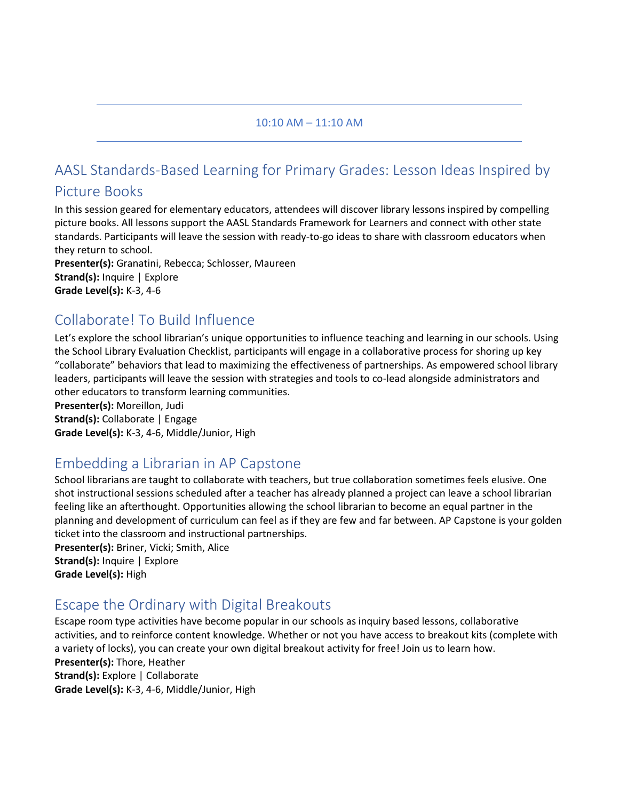#### 10:10 AM – 11:10 AM

# AASL Standards-Based Learning for Primary Grades: Lesson Ideas Inspired by

#### Picture Books

In this session geared for elementary educators, attendees will discover library lessons inspired by compelling picture books. All lessons support the AASL Standards Framework for Learners and connect with other state standards. Participants will leave the session with ready-to-go ideas to share with classroom educators when they return to school.

**Presenter(s):** Granatini, Rebecca; Schlosser, Maureen **Strand(s):** Inquire | Explore **Grade Level(s):** K-3, 4-6

## Collaborate! To Build Influence

Let's explore the school librarian's unique opportunities to influence teaching and learning in our schools. Using the School Library Evaluation Checklist, participants will engage in a collaborative process for shoring up key "collaborate" behaviors that lead to maximizing the effectiveness of partnerships. As empowered school library leaders, participants will leave the session with strategies and tools to co-lead alongside administrators and other educators to transform learning communities.

**Presenter(s):** Moreillon, Judi **Strand(s):** Collaborate | Engage **Grade Level(s):** K-3, 4-6, Middle/Junior, High

# Embedding a Librarian in AP Capstone

School librarians are taught to collaborate with teachers, but true collaboration sometimes feels elusive. One shot instructional sessions scheduled after a teacher has already planned a project can leave a school librarian feeling like an afterthought. Opportunities allowing the school librarian to become an equal partner in the planning and development of curriculum can feel as if they are few and far between. AP Capstone is your golden ticket into the classroom and instructional partnerships.

**Presenter(s):** Briner, Vicki; Smith, Alice **Strand(s):** Inquire | Explore **Grade Level(s):** High

# Escape the Ordinary with Digital Breakouts

Escape room type activities have become popular in our schools as inquiry based lessons, collaborative activities, and to reinforce content knowledge. Whether or not you have access to breakout kits (complete with a variety of locks), you can create your own digital breakout activity for free! Join us to learn how. **Presenter(s):** Thore, Heather **Strand(s):** Explore | Collaborate **Grade Level(s):** K-3, 4-6, Middle/Junior, High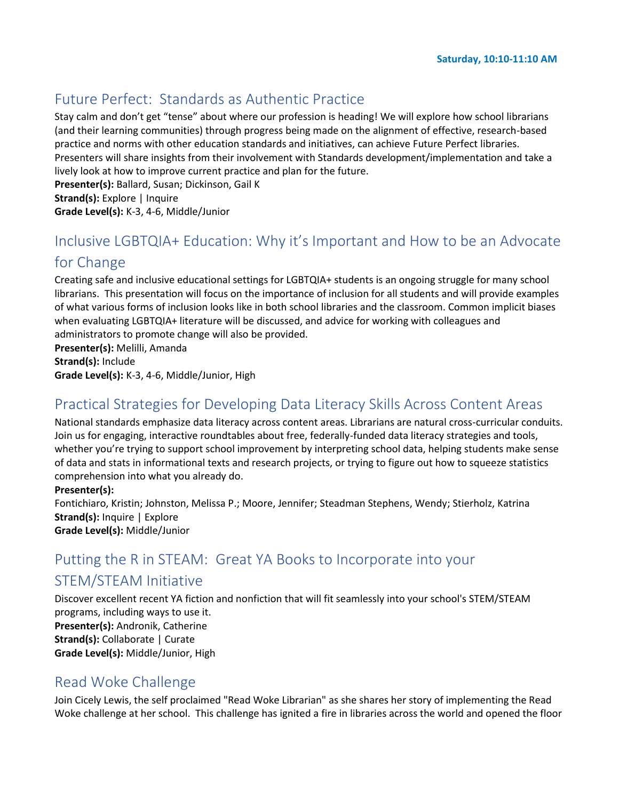# Future Perfect: Standards as Authentic Practice

Stay calm and don't get "tense" about where our profession is heading! We will explore how school librarians (and their learning communities) through progress being made on the alignment of effective, research-based practice and norms with other education standards and initiatives, can achieve Future Perfect libraries. Presenters will share insights from their involvement with Standards development/implementation and take a lively look at how to improve current practice and plan for the future. **Presenter(s):** Ballard, Susan; Dickinson, Gail K

**Strand(s):** Explore | Inquire

**Grade Level(s):** K-3, 4-6, Middle/Junior

# Inclusive LGBTQIA+ Education: Why it's Important and How to be an Advocate for Change

Creating safe and inclusive educational settings for LGBTQIA+ students is an ongoing struggle for many school librarians. This presentation will focus on the importance of inclusion for all students and will provide examples of what various forms of inclusion looks like in both school libraries and the classroom. Common implicit biases when evaluating LGBTQIA+ literature will be discussed, and advice for working with colleagues and administrators to promote change will also be provided.

**Presenter(s):** Melilli, Amanda **Strand(s):** Include

**Grade Level(s):** K-3, 4-6, Middle/Junior, High

# Practical Strategies for Developing Data Literacy Skills Across Content Areas

National standards emphasize data literacy across content areas. Librarians are natural cross-curricular conduits. Join us for engaging, interactive roundtables about free, federally-funded data literacy strategies and tools, whether you're trying to support school improvement by interpreting school data, helping students make sense of data and stats in informational texts and research projects, or trying to figure out how to squeeze statistics comprehension into what you already do.

#### **Presenter(s):**

Fontichiaro, Kristin; Johnston, Melissa P.; Moore, Jennifer; Steadman Stephens, Wendy; Stierholz, Katrina **Strand(s):** Inquire | Explore **Grade Level(s):** Middle/Junior

# Putting the R in STEAM: Great YA Books to Incorporate into your

#### STEM/STEAM Initiative

Discover excellent recent YA fiction and nonfiction that will fit seamlessly into your school's STEM/STEAM programs, including ways to use it. **Presenter(s):** Andronik, Catherine **Strand(s):** Collaborate | Curate **Grade Level(s):** Middle/Junior, High

#### Read Woke Challenge

Join Cicely Lewis, the self proclaimed "Read Woke Librarian" as she shares her story of implementing the Read Woke challenge at her school. This challenge has ignited a fire in libraries across the world and opened the floor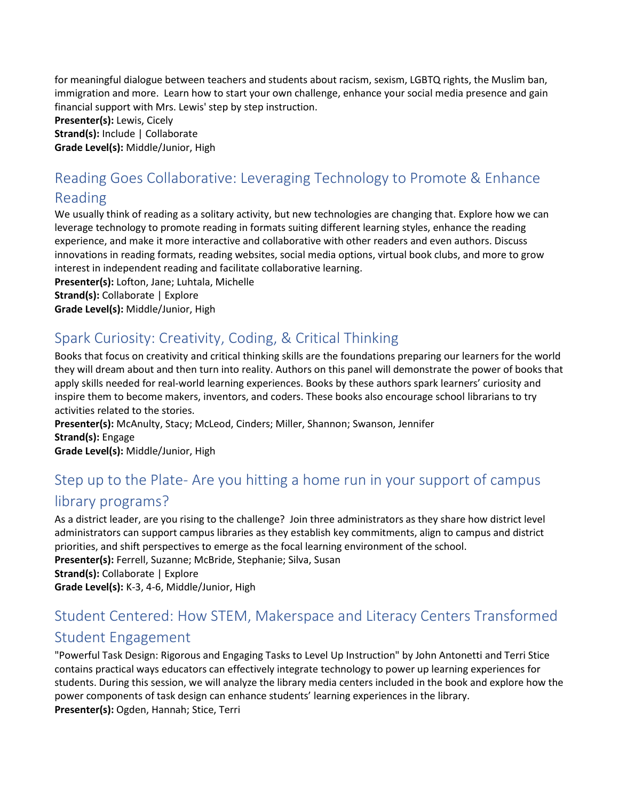for meaningful dialogue between teachers and students about racism, sexism, LGBTQ rights, the Muslim ban, immigration and more. Learn how to start your own challenge, enhance your social media presence and gain financial support with Mrs. Lewis' step by step instruction.

**Presenter(s):** Lewis, Cicely

**Strand(s):** Include | Collaborate **Grade Level(s):** Middle/Junior, High

# Reading Goes Collaborative: Leveraging Technology to Promote & Enhance Reading

We usually think of reading as a solitary activity, but new technologies are changing that. Explore how we can leverage technology to promote reading in formats suiting different learning styles, enhance the reading experience, and make it more interactive and collaborative with other readers and even authors. Discuss innovations in reading formats, reading websites, social media options, virtual book clubs, and more to grow interest in independent reading and facilitate collaborative learning.

**Presenter(s):** Lofton, Jane; Luhtala, Michelle **Strand(s): Collaborate | Explore Grade Level(s):** Middle/Junior, High

# Spark Curiosity: Creativity, Coding, & Critical Thinking

Books that focus on creativity and critical thinking skills are the foundations preparing our learners for the world they will dream about and then turn into reality. Authors on this panel will demonstrate the power of books that apply skills needed for real-world learning experiences. Books by these authors spark learners' curiosity and inspire them to become makers, inventors, and coders. These books also encourage school librarians to try activities related to the stories.

**Presenter(s):** McAnulty, Stacy; McLeod, Cinders; Miller, Shannon; Swanson, Jennifer **Strand(s):** Engage **Grade Level(s):** Middle/Junior, High

# Step up to the Plate- Are you hitting a home run in your support of campus library programs?

As a district leader, are you rising to the challenge? Join three administrators as they share how district level administrators can support campus libraries as they establish key commitments, align to campus and district priorities, and shift perspectives to emerge as the focal learning environment of the school. **Presenter(s):** Ferrell, Suzanne; McBride, Stephanie; Silva, Susan **Strand(s): Collaborate | Explore Grade Level(s):** K-3, 4-6, Middle/Junior, High

# Student Centered: How STEM, Makerspace and Literacy Centers Transformed Student Engagement

"Powerful Task Design: Rigorous and Engaging Tasks to Level Up Instruction" by John Antonetti and Terri Stice contains practical ways educators can effectively integrate technology to power up learning experiences for students. During this session, we will analyze the library media centers included in the book and explore how the power components of task design can enhance students' learning experiences in the library. **Presenter(s):** Ogden, Hannah; Stice, Terri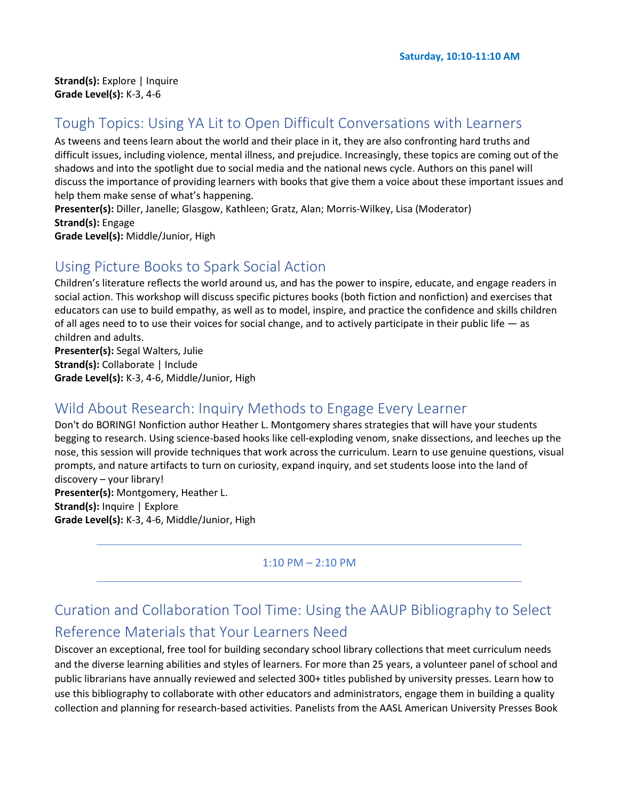# Tough Topics: Using YA Lit to Open Difficult Conversations with Learners

As tweens and teens learn about the world and their place in it, they are also confronting hard truths and difficult issues, including violence, mental illness, and prejudice. Increasingly, these topics are coming out of the shadows and into the spotlight due to social media and the national news cycle. Authors on this panel will discuss the importance of providing learners with books that give them a voice about these important issues and help them make sense of what's happening.

**Presenter(s):** Diller, Janelle; Glasgow, Kathleen; Gratz, Alan; Morris-Wilkey, Lisa (Moderator) **Strand(s):** Engage

**Grade Level(s):** Middle/Junior, High

#### Using Picture Books to Spark Social Action

Children's literature reflects the world around us, and has the power to inspire, educate, and engage readers in social action. This workshop will discuss specific pictures books (both fiction and nonfiction) and exercises that educators can use to build empathy, as well as to model, inspire, and practice the confidence and skills children of all ages need to to use their voices for social change, and to actively participate in their public life — as children and adults.

**Presenter(s):** Segal Walters, Julie **Strand(s):** Collaborate | Include **Grade Level(s):** K-3, 4-6, Middle/Junior, High

## Wild About Research: Inquiry Methods to Engage Every Learner

Don't do BORING! Nonfiction author Heather L. Montgomery shares strategies that will have your students begging to research. Using science-based hooks like cell-exploding venom, snake dissections, and leeches up the nose, this session will provide techniques that work across the curriculum. Learn to use genuine questions, visual prompts, and nature artifacts to turn on curiosity, expand inquiry, and set students loose into the land of discovery – your library!

**Presenter(s):** Montgomery, Heather L. **Strand(s):** Inquire | Explore **Grade Level(s):** K-3, 4-6, Middle/Junior, High

#### 1:10 PM – 2:10 PM

# Curation and Collaboration Tool Time: Using the AAUP Bibliography to Select Reference Materials that Your Learners Need

Discover an exceptional, free tool for building secondary school library collections that meet curriculum needs and the diverse learning abilities and styles of learners. For more than 25 years, a volunteer panel of school and public librarians have annually reviewed and selected 300+ titles published by university presses. Learn how to use this bibliography to collaborate with other educators and administrators, engage them in building a quality collection and planning for research-based activities. Panelists from the AASL American University Presses Book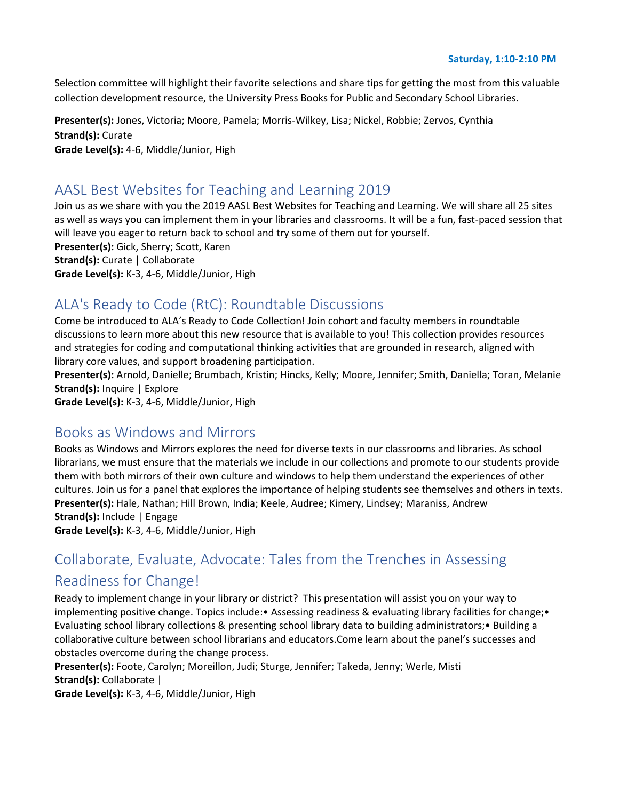**Saturday, 1:10-2:10 PM**

Selection committee will highlight their favorite selections and share tips for getting the most from this valuable collection development resource, the University Press Books for Public and Secondary School Libraries.

**Presenter(s):** Jones, Victoria; Moore, Pamela; Morris-Wilkey, Lisa; Nickel, Robbie; Zervos, Cynthia **Strand(s):** Curate **Grade Level(s):** 4-6, Middle/Junior, High

# AASL Best Websites for Teaching and Learning 2019

Join us as we share with you the 2019 AASL Best Websites for Teaching and Learning. We will share all 25 sites as well as ways you can implement them in your libraries and classrooms. It will be a fun, fast-paced session that will leave you eager to return back to school and try some of them out for yourself. **Presenter(s):** Gick, Sherry; Scott, Karen **Strand(s):** Curate | Collaborate

**Grade Level(s):** K-3, 4-6, Middle/Junior, High

# ALA's Ready to Code (RtC): Roundtable Discussions

Come be introduced to ALA's Ready to Code Collection! Join cohort and faculty members in roundtable discussions to learn more about this new resource that is available to you! This collection provides resources and strategies for coding and computational thinking activities that are grounded in research, aligned with library core values, and support broadening participation.

**Presenter(s):** Arnold, Danielle; Brumbach, Kristin; Hincks, Kelly; Moore, Jennifer; Smith, Daniella; Toran, Melanie **Strand(s):** Inquire | Explore

**Grade Level(s):** K-3, 4-6, Middle/Junior, High

#### Books as Windows and Mirrors

Books as Windows and Mirrors explores the need for diverse texts in our classrooms and libraries. As school librarians, we must ensure that the materials we include in our collections and promote to our students provide them with both mirrors of their own culture and windows to help them understand the experiences of other cultures. Join us for a panel that explores the importance of helping students see themselves and others in texts. **Presenter(s):** Hale, Nathan; Hill Brown, India; Keele, Audree; Kimery, Lindsey; Maraniss, Andrew **Strand(s):** Include | Engage

**Grade Level(s):** K-3, 4-6, Middle/Junior, High

# Collaborate, Evaluate, Advocate: Tales from the Trenches in Assessing Readiness for Change!

Ready to implement change in your library or district? This presentation will assist you on your way to implementing positive change. Topics include:• Assessing readiness & evaluating library facilities for change;• Evaluating school library collections & presenting school library data to building administrators;• Building a collaborative culture between school librarians and educators.Come learn about the panel's successes and obstacles overcome during the change process.

**Presenter(s):** Foote, Carolyn; Moreillon, Judi; Sturge, Jennifer; Takeda, Jenny; Werle, Misti **Strand(s):** Collaborate |

**Grade Level(s):** K-3, 4-6, Middle/Junior, High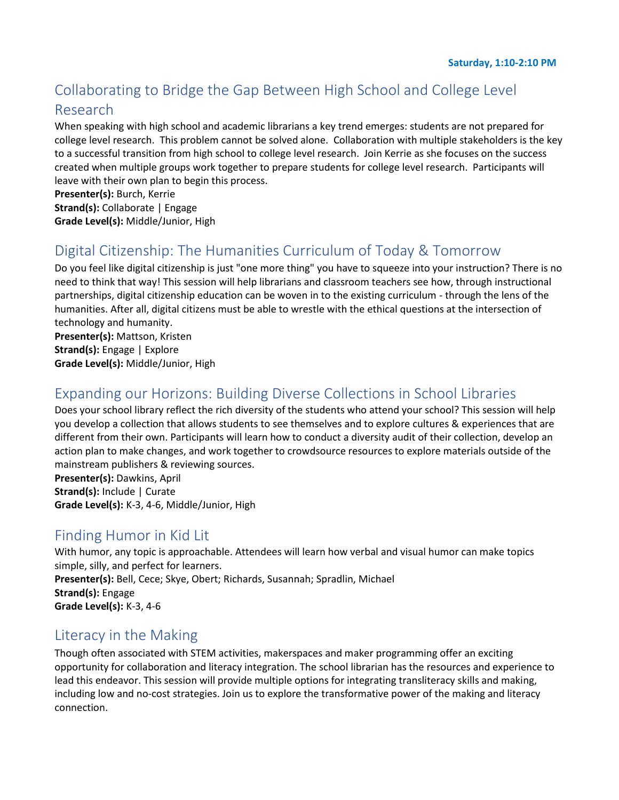# Collaborating to Bridge the Gap Between High School and College Level Research

When speaking with high school and academic librarians a key trend emerges: students are not prepared for college level research. This problem cannot be solved alone. Collaboration with multiple stakeholders is the key to a successful transition from high school to college level research. Join Kerrie as she focuses on the success created when multiple groups work together to prepare students for college level research. Participants will leave with their own plan to begin this process.

**Presenter(s):** Burch, Kerrie **Strand(s):** Collaborate | Engage **Grade Level(s):** Middle/Junior, High

# Digital Citizenship: The Humanities Curriculum of Today & Tomorrow

Do you feel like digital citizenship is just "one more thing" you have to squeeze into your instruction? There is no need to think that way! This session will help librarians and classroom teachers see how, through instructional partnerships, digital citizenship education can be woven in to the existing curriculum - through the lens of the humanities. After all, digital citizens must be able to wrestle with the ethical questions at the intersection of technology and humanity.

**Presenter(s):** Mattson, Kristen **Strand(s):** Engage | Explore **Grade Level(s):** Middle/Junior, High

# Expanding our Horizons: Building Diverse Collections in School Libraries

Does your school library reflect the rich diversity of the students who attend your school? This session will help you develop a collection that allows students to see themselves and to explore cultures & experiences that are different from their own. Participants will learn how to conduct a diversity audit of their collection, develop an action plan to make changes, and work together to crowdsource resources to explore materials outside of the mainstream publishers & reviewing sources.

**Presenter(s):** Dawkins, April **Strand(s):** Include | Curate **Grade Level(s):** K-3, 4-6, Middle/Junior, High

## Finding Humor in Kid Lit

With humor, any topic is approachable. Attendees will learn how verbal and visual humor can make topics simple, silly, and perfect for learners. **Presenter(s):** Bell, Cece; Skye, Obert; Richards, Susannah; Spradlin, Michael **Strand(s):** Engage **Grade Level(s):** K-3, 4-6

## Literacy in the Making

Though often associated with STEM activities, makerspaces and maker programming offer an exciting opportunity for collaboration and literacy integration. The school librarian has the resources and experience to lead this endeavor. This session will provide multiple options for integrating transliteracy skills and making, including low and no-cost strategies. Join us to explore the transformative power of the making and literacy connection.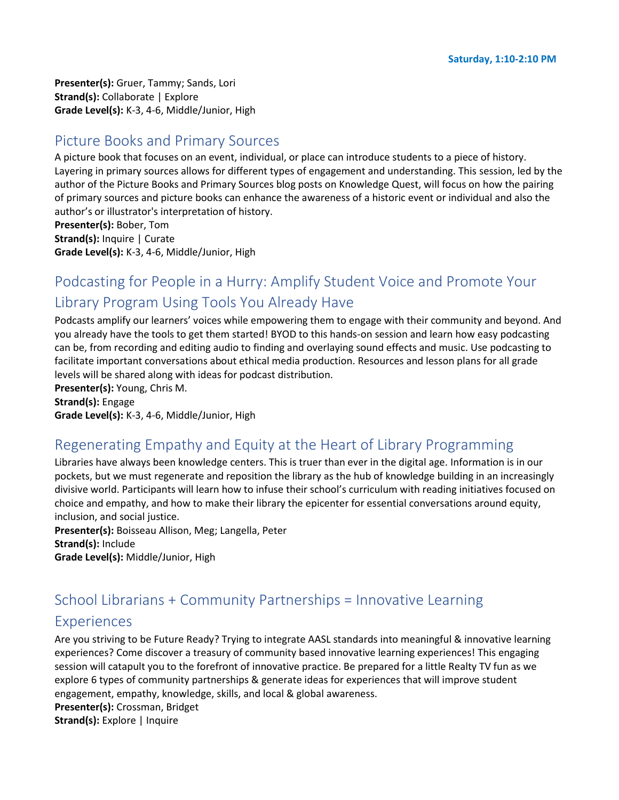**Presenter(s):** Gruer, Tammy; Sands, Lori **Strand(s): Collaborate | Explore Grade Level(s):** K-3, 4-6, Middle/Junior, High

#### Picture Books and Primary Sources

A picture book that focuses on an event, individual, or place can introduce students to a piece of history. Layering in primary sources allows for different types of engagement and understanding. This session, led by the author of the Picture Books and Primary Sources blog posts on Knowledge Quest, will focus on how the pairing of primary sources and picture books can enhance the awareness of a historic event or individual and also the author's or illustrator's interpretation of history.

**Presenter(s):** Bober, Tom **Strand(s):** Inquire | Curate **Grade Level(s):** K-3, 4-6, Middle/Junior, High

# Podcasting for People in a Hurry: Amplify Student Voice and Promote Your Library Program Using Tools You Already Have

Podcasts amplify our learners' voices while empowering them to engage with their community and beyond. And you already have the tools to get them started! BYOD to this hands-on session and learn how easy podcasting can be, from recording and editing audio to finding and overlaying sound effects and music. Use podcasting to facilitate important conversations about ethical media production. Resources and lesson plans for all grade levels will be shared along with ideas for podcast distribution.

**Presenter(s):** Young, Chris M. **Strand(s):** Engage **Grade Level(s):** K-3, 4-6, Middle/Junior, High

## Regenerating Empathy and Equity at the Heart of Library Programming

Libraries have always been knowledge centers. This is truer than ever in the digital age. Information is in our pockets, but we must regenerate and reposition the library as the hub of knowledge building in an increasingly divisive world. Participants will learn how to infuse their school's curriculum with reading initiatives focused on choice and empathy, and how to make their library the epicenter for essential conversations around equity, inclusion, and social justice.

**Presenter(s):** Boisseau Allison, Meg; Langella, Peter **Strand(s):** Include **Grade Level(s):** Middle/Junior, High

#### School Librarians + Community Partnerships = Innovative Learning

#### Experiences

Are you striving to be Future Ready? Trying to integrate AASL standards into meaningful & innovative learning experiences? Come discover a treasury of community based innovative learning experiences! This engaging session will catapult you to the forefront of innovative practice. Be prepared for a little Realty TV fun as we explore 6 types of community partnerships & generate ideas for experiences that will improve student engagement, empathy, knowledge, skills, and local & global awareness.

**Presenter(s):** Crossman, Bridget

**Strand(s):** Explore | Inquire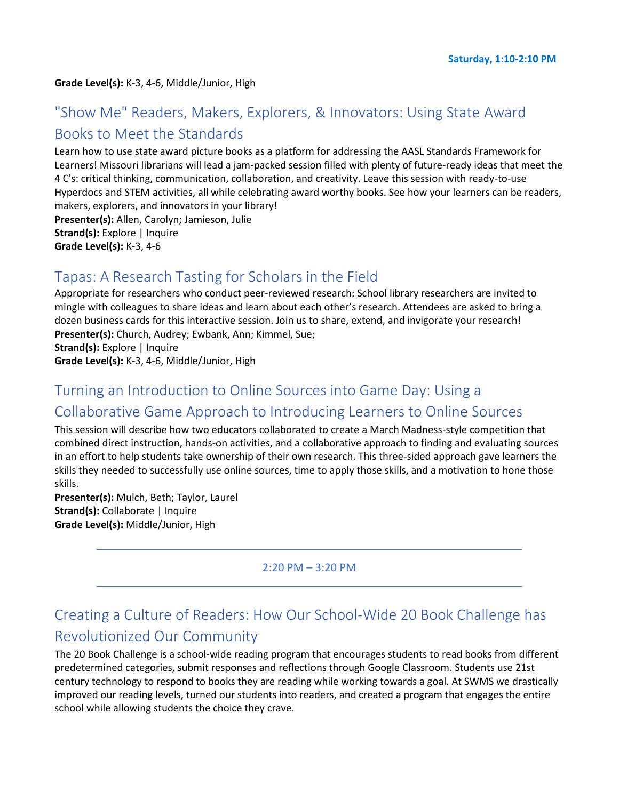#### **Grade Level(s):** K-3, 4-6, Middle/Junior, High

# "Show Me" Readers, Makers, Explorers, & Innovators: Using State Award Books to Meet the Standards

Learn how to use state award picture books as a platform for addressing the AASL Standards Framework for Learners! Missouri librarians will lead a jam-packed session filled with plenty of future-ready ideas that meet the 4 C's: critical thinking, communication, collaboration, and creativity. Leave this session with ready-to-use Hyperdocs and STEM activities, all while celebrating award worthy books. See how your learners can be readers, makers, explorers, and innovators in your library! **Presenter(s):** Allen, Carolyn; Jamieson, Julie **Strand(s):** Explore | Inquire

# **Grade Level(s):** K-3, 4-6

#### Tapas: A Research Tasting for Scholars in the Field

Appropriate for researchers who conduct peer-reviewed research: School library researchers are invited to mingle with colleagues to share ideas and learn about each other's research. Attendees are asked to bring a dozen business cards for this interactive session. Join us to share, extend, and invigorate your research! **Presenter(s):** Church, Audrey; Ewbank, Ann; Kimmel, Sue; **Strand(s):** Explore | Inquire

**Grade Level(s):** K-3, 4-6, Middle/Junior, High

# Turning an Introduction to Online Sources into Game Day: Using a Collaborative Game Approach to Introducing Learners to Online Sources

This session will describe how two educators collaborated to create a March Madness-style competition that combined direct instruction, hands-on activities, and a collaborative approach to finding and evaluating sources in an effort to help students take ownership of their own research. This three-sided approach gave learners the skills they needed to successfully use online sources, time to apply those skills, and a motivation to hone those skills.

**Presenter(s):** Mulch, Beth; Taylor, Laurel **Strand(s):** Collaborate | Inquire **Grade Level(s):** Middle/Junior, High

#### 2:20 PM – 3:20 PM

# Creating a Culture of Readers: How Our School-Wide 20 Book Challenge has Revolutionized Our Community

The 20 Book Challenge is a school-wide reading program that encourages students to read books from different predetermined categories, submit responses and reflections through Google Classroom. Students use 21st century technology to respond to books they are reading while working towards a goal. At SWMS we drastically improved our reading levels, turned our students into readers, and created a program that engages the entire school while allowing students the choice they crave.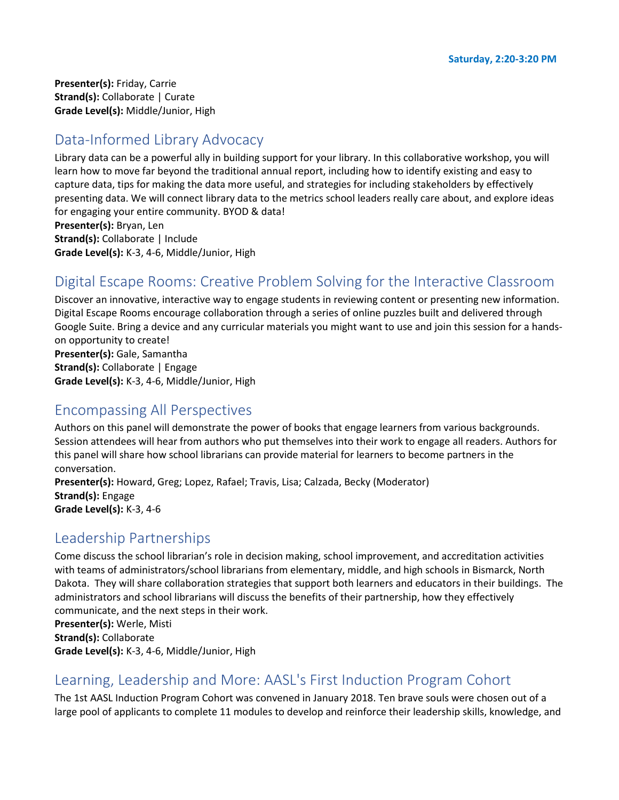**Presenter(s):** Friday, Carrie **Strand(s):** Collaborate | Curate **Grade Level(s):** Middle/Junior, High

# Data-Informed Library Advocacy

Library data can be a powerful ally in building support for your library. In this collaborative workshop, you will learn how to move far beyond the traditional annual report, including how to identify existing and easy to capture data, tips for making the data more useful, and strategies for including stakeholders by effectively presenting data. We will connect library data to the metrics school leaders really care about, and explore ideas for engaging your entire community. BYOD & data!

**Presenter(s):** Bryan, Len **Strand(s):** Collaborate | Include **Grade Level(s):** K-3, 4-6, Middle/Junior, High

# Digital Escape Rooms: Creative Problem Solving for the Interactive Classroom

Discover an innovative, interactive way to engage students in reviewing content or presenting new information. Digital Escape Rooms encourage collaboration through a series of online puzzles built and delivered through Google Suite. Bring a device and any curricular materials you might want to use and join this session for a handson opportunity to create! **Presenter(s):** Gale, Samantha

**Strand(s):** Collaborate | Engage **Grade Level(s):** K-3, 4-6, Middle/Junior, High

#### Encompassing All Perspectives

Authors on this panel will demonstrate the power of books that engage learners from various backgrounds. Session attendees will hear from authors who put themselves into their work to engage all readers. Authors for this panel will share how school librarians can provide material for learners to become partners in the conversation.

**Presenter(s):** Howard, Greg; Lopez, Rafael; Travis, Lisa; Calzada, Becky (Moderator) **Strand(s):** Engage **Grade Level(s):** K-3, 4-6

## Leadership Partnerships

Come discuss the school librarian's role in decision making, school improvement, and accreditation activities with teams of administrators/school librarians from elementary, middle, and high schools in Bismarck, North Dakota. They will share collaboration strategies that support both learners and educators in their buildings. The administrators and school librarians will discuss the benefits of their partnership, how they effectively communicate, and the next steps in their work.

**Presenter(s):** Werle, Misti **Strand(s):** Collaborate **Grade Level(s):** K-3, 4-6, Middle/Junior, High

#### Learning, Leadership and More: AASL's First Induction Program Cohort

The 1st AASL Induction Program Cohort was convened in January 2018. Ten brave souls were chosen out of a large pool of applicants to complete 11 modules to develop and reinforce their leadership skills, knowledge, and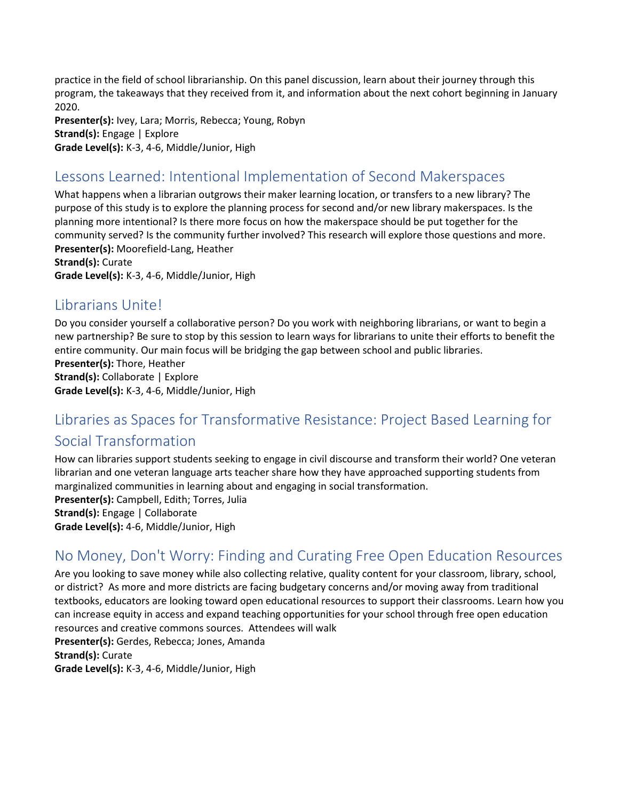practice in the field of school librarianship. On this panel discussion, learn about their journey through this program, the takeaways that they received from it, and information about the next cohort beginning in January 2020.

**Presenter(s):** Ivey, Lara; Morris, Rebecca; Young, Robyn **Strand(s):** Engage | Explore **Grade Level(s):** K-3, 4-6, Middle/Junior, High

# Lessons Learned: Intentional Implementation of Second Makerspaces

What happens when a librarian outgrows their maker learning location, or transfers to a new library? The purpose of this study is to explore the planning process for second and/or new library makerspaces. Is the planning more intentional? Is there more focus on how the makerspace should be put together for the community served? Is the community further involved? This research will explore those questions and more. **Presenter(s):** Moorefield-Lang, Heather

**Strand(s):** Curate

**Grade Level(s):** K-3, 4-6, Middle/Junior, High

# Librarians Unite!

Do you consider yourself a collaborative person? Do you work with neighboring librarians, or want to begin a new partnership? Be sure to stop by this session to learn ways for librarians to unite their efforts to benefit the entire community. Our main focus will be bridging the gap between school and public libraries.

**Presenter(s):** Thore, Heather **Strand(s):** Collaborate | Explore **Grade Level(s):** K-3, 4-6, Middle/Junior, High

# Libraries as Spaces for Transformative Resistance: Project Based Learning for Social Transformation

How can libraries support students seeking to engage in civil discourse and transform their world? One veteran librarian and one veteran language arts teacher share how they have approached supporting students from marginalized communities in learning about and engaging in social transformation. **Presenter(s):** Campbell, Edith; Torres, Julia

**Strand(s):** Engage | Collaborate

**Grade Level(s):** 4-6, Middle/Junior, High

# No Money, Don't Worry: Finding and Curating Free Open Education Resources

Are you looking to save money while also collecting relative, quality content for your classroom, library, school, or district? As more and more districts are facing budgetary concerns and/or moving away from traditional textbooks, educators are looking toward open educational resources to support their classrooms. Learn how you can increase equity in access and expand teaching opportunities for your school through free open education resources and creative commons sources. Attendees will walk

**Presenter(s):** Gerdes, Rebecca; Jones, Amanda **Strand(s):** Curate

**Grade Level(s):** K-3, 4-6, Middle/Junior, High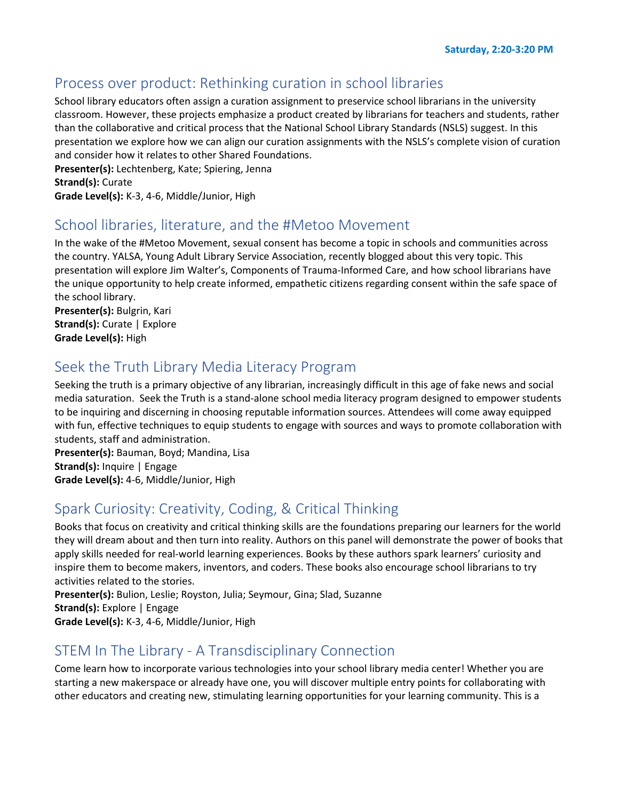#### Process over product: Rethinking curation in school libraries

School library educators often assign a curation assignment to preservice school librarians in the university classroom. However, these projects emphasize a product created by librarians for teachers and students, rather than the collaborative and critical process that the National School Library Standards (NSLS) suggest. In this presentation we explore how we can align our curation assignments with the NSLS's complete vision of curation and consider how it relates to other Shared Foundations.

**Presenter(s):** Lechtenberg, Kate; Spiering, Jenna **Strand(s):** Curate

**Grade Level(s):** K-3, 4-6, Middle/Junior, High

#### School libraries, literature, and the #Metoo Movement

In the wake of the #Metoo Movement, sexual consent has become a topic in schools and communities across the country. YALSA, Young Adult Library Service Association, recently blogged about this very topic. This presentation will explore Jim Walter's, Components of Trauma-Informed Care, and how school librarians have the unique opportunity to help create informed, empathetic citizens regarding consent within the safe space of the school library.

**Presenter(s):** Bulgrin, Kari **Strand(s):** Curate | Explore **Grade Level(s):** High

## Seek the Truth Library Media Literacy Program

Seeking the truth is a primary objective of any librarian, increasingly difficult in this age of fake news and social media saturation. Seek the Truth is a stand-alone school media literacy program designed to empower students to be inquiring and discerning in choosing reputable information sources. Attendees will come away equipped with fun, effective techniques to equip students to engage with sources and ways to promote collaboration with students, staff and administration.

**Presenter(s):** Bauman, Boyd; Mandina, Lisa **Strand(s):** Inquire | Engage **Grade Level(s):** 4-6, Middle/Junior, High

## Spark Curiosity: Creativity, Coding, & Critical Thinking

Books that focus on creativity and critical thinking skills are the foundations preparing our learners for the world they will dream about and then turn into reality. Authors on this panel will demonstrate the power of books that apply skills needed for real-world learning experiences. Books by these authors spark learners' curiosity and inspire them to become makers, inventors, and coders. These books also encourage school librarians to try activities related to the stories.

**Presenter(s):** Bulion, Leslie; Royston, Julia; Seymour, Gina; Slad, Suzanne **Strand(s):** Explore | Engage **Grade Level(s):** K-3, 4-6, Middle/Junior, High

## STEM In The Library - A Transdisciplinary Connection

Come learn how to incorporate various technologies into your school library media center! Whether you are starting a new makerspace or already have one, you will discover multiple entry points for collaborating with other educators and creating new, stimulating learning opportunities for your learning community. This is a